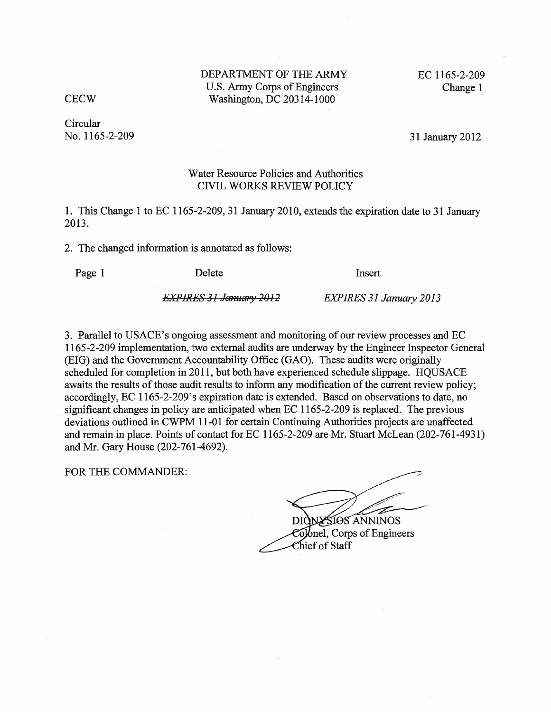DEPARTMENT OF THE ARMY EC 1165-2-209<br>U.S. Army Corps of Engineers Change 1 U.S. Army Corps of Engineers CECW Washington, DC 20314-1000

**Circular** No. 1165-2-209 31 January 2012

#### Water Resource Policies and Authorities CIVIL WORKS REVIEW POLICY

1. This Change 1 to EC 1165-2-209, 31 January 2010, extends the expiration date to 31 January 2013.

2. The changed information is annotated as follows:

Page 1 Delete Insert

*EXPIRES* 31 *January* 2{)12 *EXPIRES* 31 *January 2013* 

3. Parallel to USACE's ongoing assessment and monitoring of our review processes and EC 1165-2-209 implementation, two external audits are underway by the Engineer Inspector General (EIG) and the Government Accountability Office (GAO). These audits were originally scheduled for completion in 2011, but both have experienced schedule slippage. HQUSACE awaits the results of those audit results to inform any modification of the current review policy; accordingly, EC 1165-2-209's expiration date is extended. Based on observations to date, no significant changes in policy are anticipated when EC 1165-2-209 is replaced. The previous deviations outlined in CWPM 11-01 for certain Continuing Authorities projects are unaffected and remain in place. Points of contact for EC 1165-2-209 are Mr. Stuart McLean (202-761-4931) and Mr. Gary House (202-761-4692).

FOR THE COMMANDER:

NYSIOS ANNINOS DK Colonel, Corps of Engineers

Chief of Staff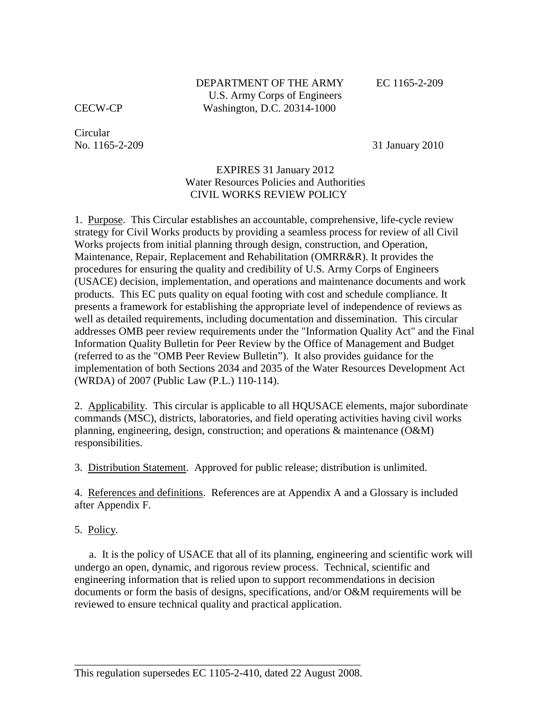DEPARTMENT OF THE ARMY U.S. Army Corps of Engineers Washington, D.C. 20314-1000

EC 1165-2-209

CECW-CP

No. 1165-2-209 Circular

31 January 2010

## EXPIRES 31 January 2012 Water Resources Policies and Authorities CIVIL WORKS REVIEW POLICY

 1. Purpose. This Circular establishes an accountable, comprehensive, life-cycle review strategy for Civil Works products by providing a seamless process for review of all Civil products. This EC puts quality on equal footing with cost and schedule compliance. It presents a framework for establishing the appropriate level of independence of reviews as well as detailed requirements, including documentation and dissemination. This circular addresses OMB peer review requirements under the "Information Quality Act" and the Final Information Quality Bulletin for Peer Review by the Office of Management and Budget (referred to as the "OMB Peer Review Bulletin"). It also provides guidance for the (WRDA) of 2007 (Public Law (P.L.) 110-114). Works projects from initial planning through design, construction, and Operation, Maintenance, Repair, Replacement and Rehabilitation (OMRR&R). It provides the procedures for ensuring the quality and credibility of U.S. Army Corps of Engineers (USACE) decision, implementation, and operations and maintenance documents and work implementation of both Sections 2034 and 2035 of the Water Resources Development Act

2. Applicability. This circular is applicable to all HQUSACE elements, major subordinate planning, engineering, design, construction; and operations & maintenance (O&M) commands (MSC), districts, laboratories, and field operating activities having civil works responsibilities.

3. Distribution Statement. Approved for public release; distribution is unlimited.

4. References and definitions. References are at Appendix A and a Glossary is included after Appendix F.

5. Policy.

 reviewed to ensure technical quality and practical application. a. It is the policy of USACE that all of its planning, engineering and scientific work will undergo an open, dynamic, and rigorous review process. Technical, scientific and engineering information that is relied upon to support recommendations in decision documents or form the basis of designs, specifications, and/or O&M requirements will be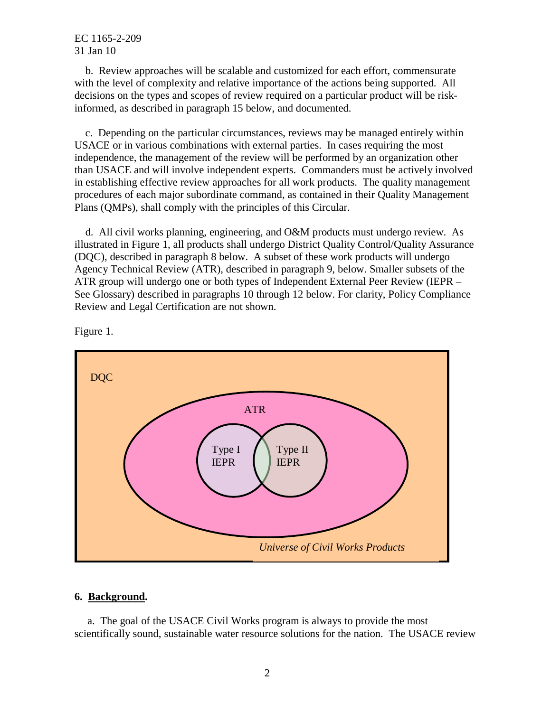with the level of complexity and relative importance of the actions being supported. All b. Review approaches will be scalable and customized for each effort, commensurate decisions on the types and scopes of review required on a particular product will be riskinformed, as described in paragraph 15 below, and documented.

 USACE or in various combinations with external parties. In cases requiring the most in establishing effective review approaches for all work products. The quality management procedures of each major subordinate command, as contained in their Quality Management c. Depending on the particular circumstances, reviews may be managed entirely within independence, the management of the review will be performed by an organization other than USACE and will involve independent experts. Commanders must be actively involved Plans (QMPs), shall comply with the principles of this Circular.

 illustrated in Figure 1, all products shall undergo District Quality Control/Quality Assurance Agency Technical Review (ATR), described in paragraph 9, below. Smaller subsets of the ATR group will undergo one or both types of Independent External Peer Review (IEPR – See Glossary) described in paragraphs 10 through 12 below. For clarity, Policy Compliance Review and Legal Certification are not shown. d. All civil works planning, engineering, and O&M products must undergo review. As (DQC), described in paragraph 8 below. A subset of these work products will undergo



Figure 1.

# **6. Background.**

a. The goal of the USACE Civil Works program is always to provide the most scientifically sound, sustainable water resource solutions for the nation. The USACE review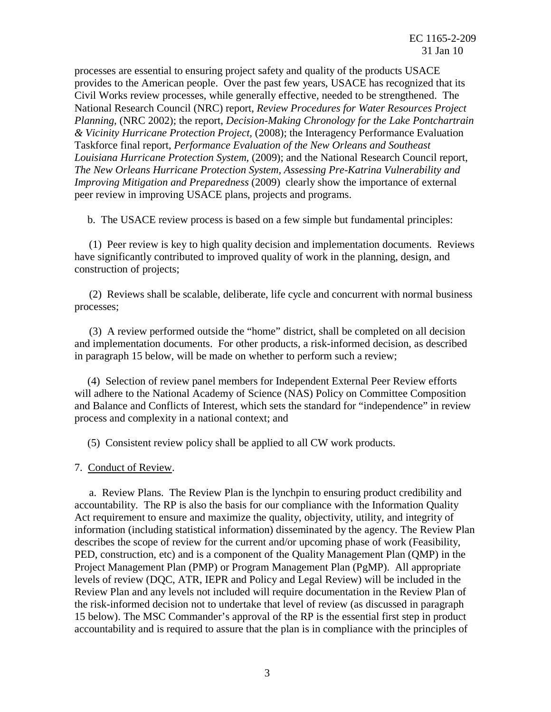processes are essential to ensuring project safety and quality of the products USACE provides to the American people. Over the past few years, USACE has recognized that its Civil Works review processes, while generally effective, needed to be strengthened. The National Research Council (NRC) report, *Review Procedures for Water Resources Project & Vicinity Hurricane Protection Project,* (2008); the Interagency Performance Evaluation Taskforce final report, *Performance Evaluation of the New Orleans and Southeast The New Orleans Hurricane Protection System, Assessing Pre-Katrina Vulnerability and Improving Mitigation and Preparedness* (2009) clearly show the importance of external *Planning,* (NRC 2002); the report, *Decision-Making Chronology for the Lake Pontchartrain Louisiana Hurricane Protection System,* (2009); and the National Research Council report, peer review in improving USACE plans, projects and programs.

b. The USACE review process is based on a few simple but fundamental principles:

 have significantly contributed to improved quality of work in the planning, design, and (1) Peer review is key to high quality decision and implementation documents. Reviews construction of projects;

(2) Reviews shall be scalable, deliberate, life cycle and concurrent with normal business processes;

(3) A review performed outside the "home" district, shall be completed on all decision and implementation documents. For other products, a risk-informed decision, as described in paragraph 15 below, will be made on whether to perform such a review;

 will adhere to the National Academy of Science (NAS) Policy on Committee Composition and Balance and Conflicts of Interest, which sets the standard for "independence" in review process and complexity in a national context; and (4) Selection of review panel members for Independent External Peer Review efforts

(5) Consistent review policy shall be applied to all CW work products.

7. Conduct of Review.

 accountability. The RP is also the basis for our compliance with the Information Quality Act requirement to ensure and maximize the quality, objectivity, utility, and integrity of Project Management Plan (PMP) or Program Management Plan (PgMP). All appropriate levels of review (DQC, ATR, IEPR and Policy and Legal Review) will be included in the Review Plan and any levels not included will require documentation in the Review Plan of 15 below). The MSC Commander's approval of the RP is the essential first step in product a. Review Plans. The Review Plan is the lynchpin to ensuring product credibility and information (including statistical information) disseminated by the agency. The Review Plan describes the scope of review for the current and/or upcoming phase of work (Feasibility, PED, construction, etc) and is a component of the Quality Management Plan (QMP) in the the risk-informed decision not to undertake that level of review (as discussed in paragraph accountability and is required to assure that the plan is in compliance with the principles of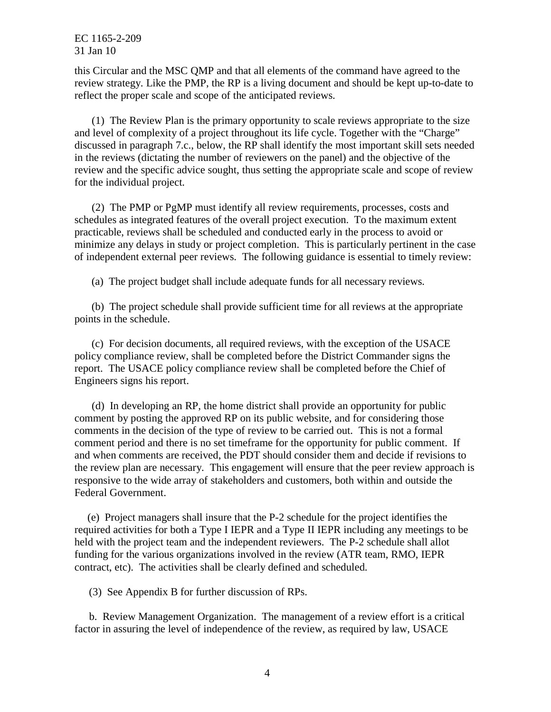this Circular and the MSC QMP and that all elements of the command have agreed to the reflect the proper scale and scope of the anticipated reviews. review strategy. Like the PMP, the RP is a living document and should be kept up-to-date to

 and level of complexity of a project throughout its life cycle. Together with the "Charge" in the reviews (dictating the number of reviewers on the panel) and the objective of the review and the specific advice sought, thus setting the appropriate scale and scope of review  $r(1)$  The Review Plan is the primary opportunity to scale reviews appropriate to the size discussed in paragraph 7.c., below, the RP shall identify the most important skill sets needed for the individual project.

 schedules as integrated features of the overall project execution. To the maximum extent practicable, reviews shall be scheduled and conducted early in the process to avoid or minimize any delays in study or project completion. This is particularly pertinent in the case of independent external peer reviews. The following guidance is essential to timely review: (2) The PMP or PgMP must identify all review requirements, processes, costs and

(a) The project budget shall include adequate funds for all necessary reviews.

points in the schedule. (b) The project schedule shall provide sufficient time for all reviews at the appropriate

 policy compliance review, shall be completed before the District Commander signs the points in the schedule. (c) For decision documents, all required reviews, with the exception of the USACE report. The USACE policy compliance review shall be completed before the Chief of Engineers signs his report.

 comment period and there is no set timeframe for the opportunity for public comment. If and when comments are received, the PDT should consider them and decide if revisions to the review plan are necessary. This engagement will ensure that the peer review approach is responsive to the wide array of stakeholders and customers, both within and outside the (d) In developing an RP, the home district shall provide an opportunity for public comment by posting the approved RP on its public website, and for considering those comments in the decision of the type of review to be carried out. This is not a formal Federal Government.

 required activities for both a Type I IEPR and a Type II IEPR including any meetings to be held with the project team and the independent reviewers. The P-2 schedule shall allot contract, etc). The activities shall be clearly defined and scheduled. (e) Project managers shall insure that the P-2 schedule for the project identifies the funding for the various organizations involved in the review (ATR team, RMO, IEPR

(3) See Appendix B for further discussion of RPs.

 factor in assuring the level of independence of the review, as required by law, USACE b. Review Management Organization. The management of a review effort is a critical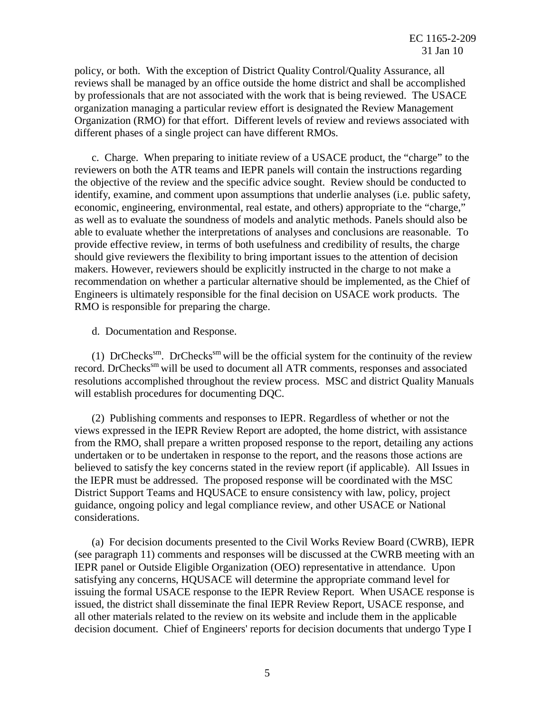policy, or both. With the exception of District Quality Control/Quality Assurance, all by professionals that are not associated with the work that is being reviewed. The USACE organization managing a particular review effort is designated the Review Management Organization (RMO) for that effort. Different levels of review and reviews associated with reviews shall be managed by an office outside the home district and shall be accomplished different phases of a single project can have different RMOs.

 reviewers on both the ATR teams and IEPR panels will contain the instructions regarding able to evaluate whether the interpretations of analyses and conclusions are reasonable. To provide effective review, in terms of both usefulness and credibility of results, the charge RMO is responsible for preparing the charge. c. Charge. When preparing to initiate review of a USACE product, the "charge" to the the objective of the review and the specific advice sought. Review should be conducted to identify, examine, and comment upon assumptions that underlie analyses (i.e. public safety, economic, engineering, environmental, real estate, and others) appropriate to the "charge," as well as to evaluate the soundness of models and analytic methods. Panels should also be should give reviewers the flexibility to bring important issues to the attention of decision makers. However, reviewers should be explicitly instructed in the charge to not make a recommendation on whether a particular alternative should be implemented, as the Chief of Engineers is ultimately responsible for the final decision on USACE work products. The

d. Documentation and Response.

record. DrChecks<sup>sm</sup> will be used to document all ATR comments, responses and associated will establish procedures for documenting DQC. (1) DrChecks<sup>sm</sup>. DrChecks<sup>sm</sup> will be the official system for the continuity of the review resolutions accomplished throughout the review process. MSC and district Quality Manuals

 views expressed in the IEPR Review Report are adopted, the home district, with assistance undertaken or to be undertaken in response to the report, and the reasons those actions are believed to satisfy the key concerns stated in the review report (if applicable). All Issues in the IEPR must be addressed. The proposed response will be coordinated with the MSC (2) Publishing comments and responses to IEPR. Regardless of whether or not the from the RMO, shall prepare a written proposed response to the report, detailing any actions District Support Teams and HQUSACE to ensure consistency with law, policy, project guidance, ongoing policy and legal compliance review, and other USACE or National considerations.

 (see paragraph 11) comments and responses will be discussed at the CWRB meeting with an satisfying any concerns, HQUSACE will determine the appropriate command level for issuing the formal USACE response to the IEPR Review Report. When USACE response is (a) For decision documents presented to the Civil Works Review Board (CWRB), IEPR IEPR panel or Outside Eligible Organization (OEO) representative in attendance. Upon issued, the district shall disseminate the final IEPR Review Report, USACE response, and all other materials related to the review on its website and include them in the applicable decision document. Chief of Engineers' reports for decision documents that undergo Type I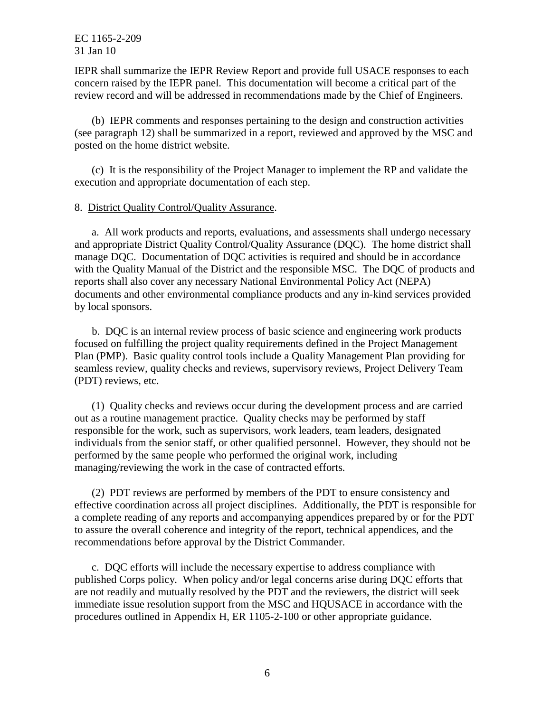IEPR shall summarize the IEPR Review Report and provide full USACE responses to each concern raised by the IEPR panel. This documentation will become a critical part of the review record and will be addressed in recommendations made by the Chief of Engineers.

 (see paragraph 12) shall be summarized in a report, reviewed and approved by the MSC and (b) IEPR comments and responses pertaining to the design and construction activities posted on the home district website.

 execution and appropriate documentation of each step. (c) It is the responsibility of the Project Manager to implement the RP and validate the

#### 8. District Quality Control/Quality Assurance.

 and appropriate District Quality Control/Quality Assurance (DQC). The home district shall manage DQC. Documentation of DQC activities is required and should be in accordance reports shall also cover any necessary National Environmental Policy Act (NEPA) a. All work products and reports, evaluations, and assessments shall undergo necessary with the Quality Manual of the District and the responsible MSC. The DQC of products and documents and other environmental compliance products and any in-kind services provided by local sponsors.

 Plan (PMP). Basic quality control tools include a Quality Management Plan providing for seamless review, quality checks and reviews, supervisory reviews, Project Delivery Team (PDT) reviews, etc. b. DQC is an internal review process of basic science and engineering work products focused on fulfilling the project quality requirements defined in the Project Management

 out as a routine management practice. Quality checks may be performed by staff  $(1)$  Quality checks and reviews occur during the development process and are carried responsible for the work, such as supervisors, work leaders, team leaders, designated individuals from the senior staff, or other qualified personnel. However, they should not be performed by the same people who performed the original work, including managing/reviewing the work in the case of contracted efforts.

 a complete reading of any reports and accompanying appendices prepared by or for the PDT to assure the overall coherence and integrity of the report, technical appendices, and the (2) PDT reviews are performed by members of the PDT to ensure consistency and effective coordination across all project disciplines. Additionally, the PDT is responsible for recommendations before approval by the District Commander.

c. DQC efforts will include the necessary expertise to address compliance with published Corps policy. When policy and/or legal concerns arise during DQC efforts that are not readily and mutually resolved by the PDT and the reviewers, the district will seek immediate issue resolution support from the MSC and HQUSACE in accordance with the procedures outlined in Appendix H, ER 1105-2-100 or other appropriate guidance.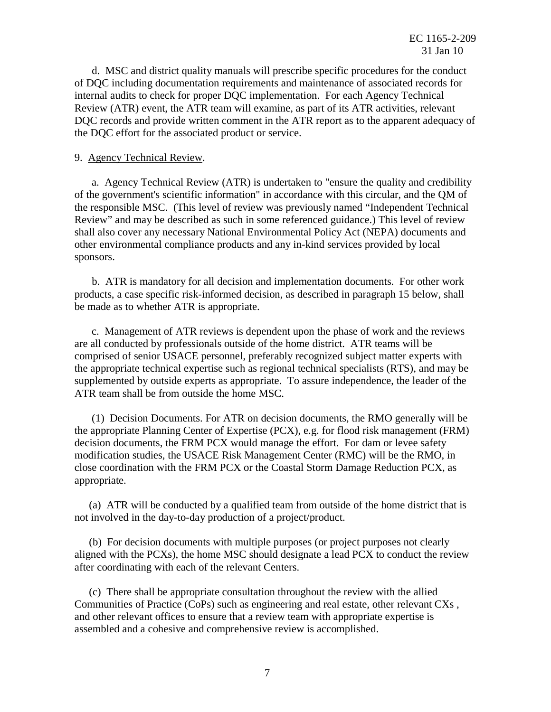internal audits to check for proper DQC implementation. For each Agency Technical Review (ATR) event, the ATR team will examine, as part of its ATR activities, relevant DQC records and provide written comment in the ATR report as to the apparent adequacy of d. MSC and district quality manuals will prescribe specific procedures for the conduct of DQC including documentation requirements and maintenance of associated records for the DQC effort for the associated product or service.

#### 9. Agency Technical Review.

 of the government's scientific information" in accordance with this circular, and the QM of Review" and may be described as such in some referenced guidance.) This level of review shall also cover any necessary National Environmental Policy Act (NEPA) documents and other environmental compliance products and any in-kind services provided by local a. Agency Technical Review (ATR) is undertaken to "ensure the quality and credibility the responsible MSC. (This level of review was previously named "Independent Technical sponsors.

 products, a case specific risk-informed decision, as described in paragraph 15 below, shall be made as to whether ATR is appropriate. b. ATR is mandatory for all decision and implementation documents. For other work

ATR team shall be from outside the home MSC. c. Management of ATR reviews is dependent upon the phase of work and the reviews are all conducted by professionals outside of the home district. ATR teams will be comprised of senior USACE personnel, preferably recognized subject matter experts with the appropriate technical expertise such as regional technical specialists (RTS), and may be supplemented by outside experts as appropriate. To assure independence, the leader of the

 the appropriate Planning Center of Expertise (PCX), e.g. for flood risk management (FRM) close coordination with the FRM PCX or the Coastal Storm Damage Reduction PCX, as appropriate.  $(1)$  Decision Documents. For ATR on decision documents, the RMO generally will be decision documents, the FRM PCX would manage the effort. For dam or levee safety modification studies, the USACE Risk Management Center (RMC) will be the RMO, in

(a) ATR will be conducted by a qualified team from outside of the home district that is not involved in the day-to-day production of a project/product.

(b) For decision documents with multiple purposes (or project purposes not clearly aligned with the PCXs), the home MSC should designate a lead PCX to conduct the review after coordinating with each of the relevant Centers.

 Communities of Practice (CoPs) such as engineering and real estate, other relevant CXs , and other relevant offices to ensure that a review team with appropriate expertise is assembled and a cohesive and comprehensive review is accomplished. (c) There shall be appropriate consultation throughout the review with the allied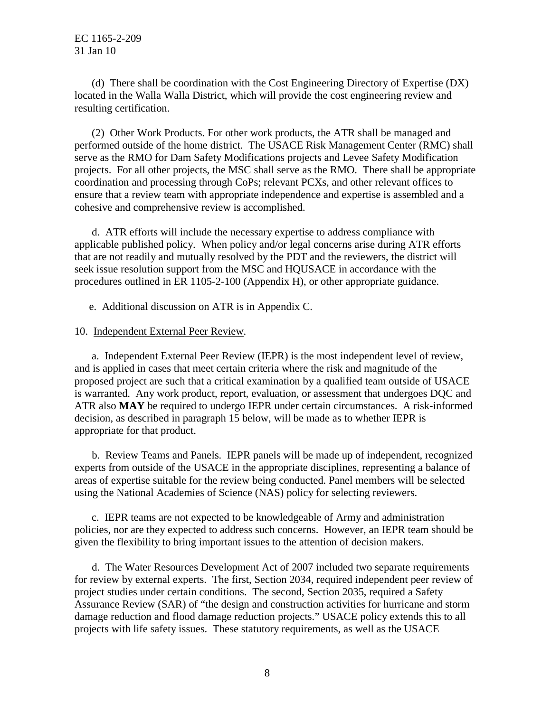resulting certification. (d) There shall be coordination with the Cost Engineering Directory of Expertise (DX) located in the Walla Walla District, which will provide the cost engineering review and

 serve as the RMO for Dam Safety Modifications projects and Levee Safety Modification projects. For all other projects, the MSC shall serve as the RMO. There shall be appropriate ensure that a review team with appropriate independence and expertise is assembled and a (2) Other Work Products. For other work products, the ATR shall be managed and performed outside of the home district. The USACE Risk Management Center (RMC) shall coordination and processing through CoPs; relevant PCXs, and other relevant offices to cohesive and comprehensive review is accomplished.

 that are not readily and mutually resolved by the PDT and the reviewers, the district will seek issue resolution support from the MSC and HQUSACE in accordance with the d. ATR efforts will include the necessary expertise to address compliance with applicable published policy. When policy and/or legal concerns arise during ATR efforts procedures outlined in ER 1105-2-100 (Appendix H), or other appropriate guidance.

e. Additional discussion on ATR is in Appendix C.

## 10. Independent External Peer Review.

 and is applied in cases that meet certain criteria where the risk and magnitude of the ATR also **MAY** be required to undergo IEPR under certain circumstances. A risk-informed a. Independent External Peer Review (IEPR) is the most independent level of review, proposed project are such that a critical examination by a qualified team outside of USACE is warranted. Any work product, report, evaluation, or assessment that undergoes DQC and decision, as described in paragraph 15 below, will be made as to whether IEPR is appropriate for that product.

 using the National Academies of Science (NAS) policy for selecting reviewers. b. Review Teams and Panels. IEPR panels will be made up of independent, recognized experts from outside of the USACE in the appropriate disciplines, representing a balance of areas of expertise suitable for the review being conducted. Panel members will be selected

 policies, nor are they expected to address such concerns. However, an IEPR team should be c. IEPR teams are not expected to be knowledgeable of Army and administration given the flexibility to bring important issues to the attention of decision makers.

 for review by external experts. The first, Section 2034, required independent peer review of Assurance Review (SAR) of "the design and construction activities for hurricane and storm damage reduction and flood damage reduction projects." USACE policy extends this to all projects with life safety issues. These statutory requirements, as well as the USACE d. The Water Resources Development Act of 2007 included two separate requirements project studies under certain conditions. The second, Section 2035, required a Safety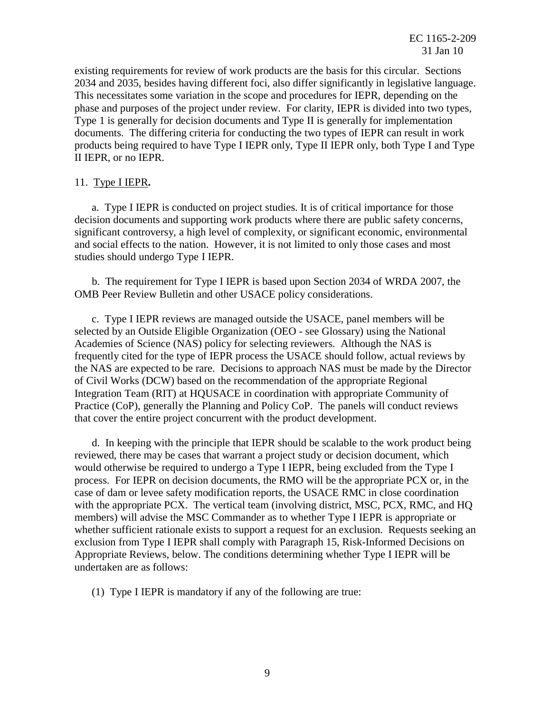existing requirements for review of work products are the basis for this circular. Sections phase and purposes of the project under review. For clarity, IEPR is divided into two types, Type 1 is generally for decision documents and Type II is generally for implementation documents. The differing criteria for conducting the two types of IEPR can result in work 2034 and 2035, besides having different foci, also differ significantly in legislative language. This necessitates some variation in the scope and procedures for IEPR, depending on the products being required to have Type I IEPR only, Type II IEPR only, both Type I and Type II IEPR, or no IEPR.

## 11. Type I IEPR**.**

 and social effects to the nation. However, it is not limited to only those cases and most studies should undergo Type I IEPR. a. Type I IEPR is conducted on project studies. It is of critical importance for those decision documents and supporting work products where there are public safety concerns, significant controversy, a high level of complexity, or significant economic, environmental

 OMB Peer Review Bulletin and other USACE policy considerations. b. The requirement for Type I IEPR is based upon Section 2034 of WRDA 2007, the

 selected by an Outside Eligible Organization (OEO - see Glossary) using the National Academies of Science (NAS) policy for selecting reviewers. Although the NAS is the NAS are expected to be rare. Decisions to approach NAS must be made by the Director of Civil Works (DCW) based on the recommendation of the appropriate Regional Integration Team (RIT) at HQUSACE in coordination with appropriate Community of Practice (CoP), generally the Planning and Policy CoP. The panels will conduct reviews c. Type I IEPR reviews are managed outside the USACE, panel members will be frequently cited for the type of IEPR process the USACE should follow, actual reviews by that cover the entire project concurrent with the product development.

 case of dam or levee safety modification reports, the USACE RMC in close coordination with the appropriate PCX. The vertical team (involving district, MSC, PCX, RMC, and HQ whether sufficient rationale exists to support a request for an exclusion. Requests seeking an undertaken are as follows: d. In keeping with the principle that IEPR should be scalable to the work product being reviewed, there may be cases that warrant a project study or decision document, which would otherwise be required to undergo a Type I IEPR, being excluded from the Type I process. For IEPR on decision documents, the RMO will be the appropriate PCX or, in the members) will advise the MSC Commander as to whether Type I IEPR is appropriate or exclusion from Type I IEPR shall comply with Paragraph 15, Risk-Informed Decisions on Appropriate Reviews, below. The conditions determining whether Type I IEPR will be

(1) Type I IEPR is mandatory if any of the following are true: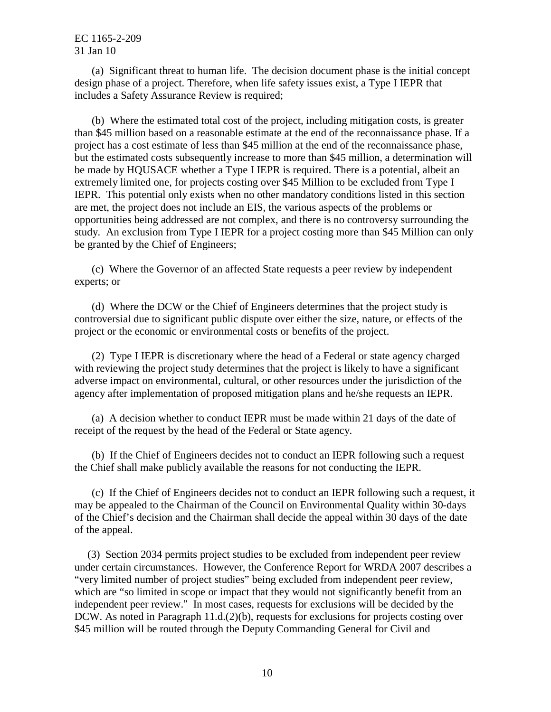includes a Safety Assurance Review is required; (a) Significant threat to human life. The decision document phase is the initial concept design phase of a project. Therefore, when life safety issues exist, a Type I IEPR that

 project has a cost estimate of less than \$45 million at the end of the reconnaissance phase, be made by HQUSACE whether a Type I IEPR is required. There is a potential, albeit an extremely limited one, for projects costing over \$45 Million to be excluded from Type I are met, the project does not include an EIS, the various aspects of the problems or study. An exclusion from Type I IEPR for a project costing more than \$45 Million can only (b) Where the estimated total cost of the project, including mitigation costs, is greater than \$45 million based on a reasonable estimate at the end of the reconnaissance phase. If a but the estimated costs subsequently increase to more than \$45 million, a determination will IEPR. This potential only exists when no other mandatory conditions listed in this section opportunities being addressed are not complex, and there is no controversy surrounding the be granted by the Chief of Engineers;

 experts; or (c) Where the Governor of an affected State requests a peer review by independent

 controversial due to significant public dispute over either the size, nature, or effects of the project or the economic or environmental costs or benefits of the project. (d) Where the DCW or the Chief of Engineers determines that the project study is

 with reviewing the project study determines that the project is likely to have a significant (2) Type I IEPR is discretionary where the head of a Federal or state agency charged adverse impact on environmental, cultural, or other resources under the jurisdiction of the agency after implementation of proposed mitigation plans and he/she requests an IEPR.

(a) A decision whether to conduct IEPR must be made within 21 days of the date of receipt of the request by the head of the Federal or State agency.

(b) If the Chief of Engineers decides not to conduct an IEPR following such a request the Chief shall make publicly available the reasons for not conducting the IEPR.

(c) If the Chief of Engineers decides not to conduct an IEPR following such a request, it may be appealed to the Chairman of the Council on Environmental Quality within 30-days of the Chief's decision and the Chairman shall decide the appeal within 30 days of the date of the appeal.

 under certain circumstances. However, the Conference Report for WRDA 2007 describes a "very limited number of project studies" being excluded from independent peer review, which are "so limited in scope or impact that they would not significantly benefit from an (3) Section 2034 permits project studies to be excluded from independent peer review independent peer review." In most cases, requests for exclusions will be decided by the DCW. As noted in Paragraph 11.d.(2)(b), requests for exclusions for projects costing over \$45 million will be routed through the Deputy Commanding General for Civil and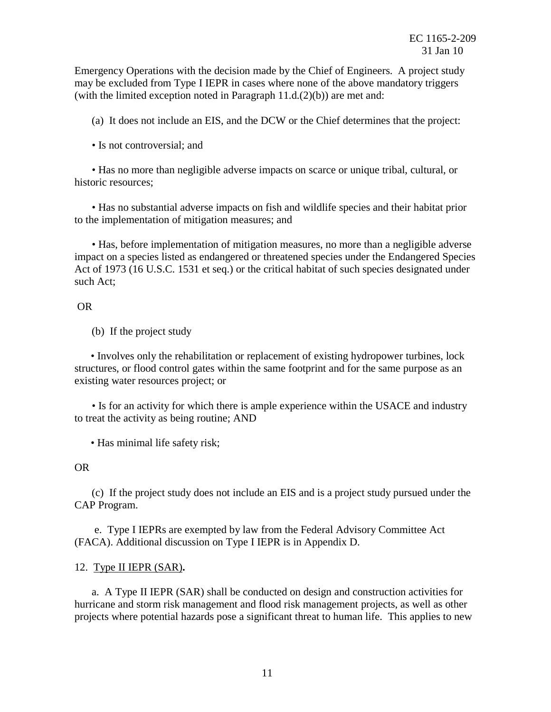Emergency Operations with the decision made by the Chief of Engineers. A project study may be excluded from Type I IEPR in cases where none of the above mandatory triggers (with the limited exception noted in Paragraph  $11.d.(2)(b)$ ) are met and:

(a) It does not include an EIS, and the DCW or the Chief determines that the project:

• Is not controversial; and

• Has no more than negligible adverse impacts on scarce or unique tribal, cultural, or historic resources;

• Has no substantial adverse impacts on fish and wildlife species and their habitat prior to the implementation of mitigation measures; and

• Has, before implementation of mitigation measures, no more than a negligible adverse impact on a species listed as endangered or threatened species under the Endangered Species Act of 1973 (16 U.S.C. 1531 et seq.) or the critical habitat of such species designated under such Act;

## OR

(b) If the project study

 structures, or flood control gates within the same footprint and for the same purpose as an • Involves only the rehabilitation or replacement of existing hydropower turbines, lock existing water resources project; or

• Is for an activity for which there is ample experience within the USACE and industry to treat the activity as being routine; AND

• Has minimal life safety risk;

## OR

(c) If the project study does not include an EIS and is a project study pursued under the CAP Program.

e. Type I IEPRs are exempted by law from the Federal Advisory Committee Act (FACA). Additional discussion on Type I IEPR is in Appendix D.

# 12. Type II IEPR (SAR)**.**

 projects where potential hazards pose a significant threat to human life. This applies to new a. A Type II IEPR (SAR) shall be conducted on design and construction activities for hurricane and storm risk management and flood risk management projects, as well as other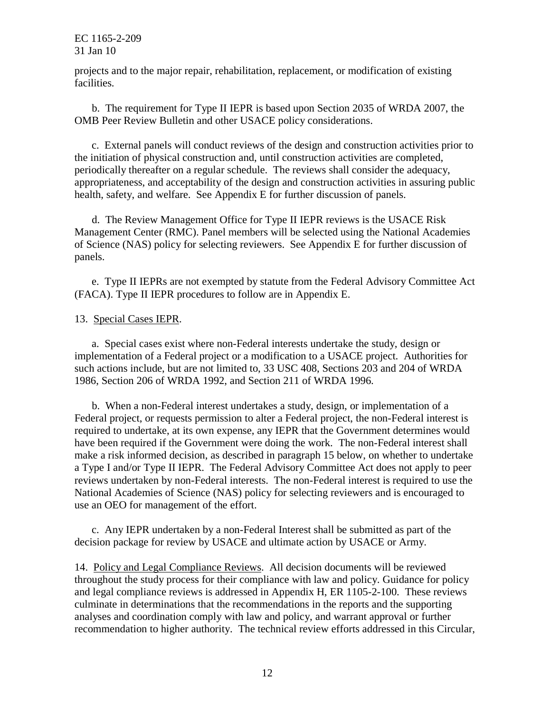projects and to the major repair, rehabilitation, replacement, or modification of existing facilities.

 OMB Peer Review Bulletin and other USACE policy considerations. b. The requirement for Type II IEPR is based upon Section 2035 of WRDA 2007, the

 the initiation of physical construction and, until construction activities are completed, periodically thereafter on a regular schedule. The reviews shall consider the adequacy, c. External panels will conduct reviews of the design and construction activities prior to appropriateness, and acceptability of the design and construction activities in assuring public health, safety, and welfare. See Appendix E for further discussion of panels.

 of Science (NAS) policy for selecting reviewers. See Appendix E for further discussion of d. The Review Management Office for Type II IEPR reviews is the USACE Risk Management Center (RMC). Panel members will be selected using the National Academies panels.

(FACA). Type II IEPR procedures to follow are in Appendix E.<br>13. Special Cases IEPR. e. Type II IEPRs are not exempted by statute from the Federal Advisory Committee Act

 implementation of a Federal project or a modification to a USACE project. Authorities for a. Special cases exist where non-Federal interests undertake the study, design or such actions include, but are not limited to, 33 USC 408, Sections 203 and 204 of WRDA 1986, Section 206 of WRDA 1992, and Section 211 of WRDA 1996.

 Federal project, or requests permission to alter a Federal project, the non-Federal interest is National Academies of Science (NAS) policy for selecting reviewers and is encouraged to b. When a non-Federal interest undertakes a study, design, or implementation of a required to undertake, at its own expense, any IEPR that the Government determines would have been required if the Government were doing the work. The non-Federal interest shall make a risk informed decision, as described in paragraph 15 below, on whether to undertake a Type I and/or Type II IEPR. The Federal Advisory Committee Act does not apply to peer reviews undertaken by non-Federal interests. The non-Federal interest is required to use the use an OEO for management of the effort.

c. Any IEPR undertaken by a non-Federal Interest shall be submitted as part of the decision package for review by USACE and ultimate action by USACE or Army.

 14. Policy and Legal Compliance Reviews. All decision documents will be reviewed throughout the study process for their compliance with law and policy. Guidance for policy and legal compliance reviews is addressed in Appendix H, ER 1105-2-100. These reviews recommendation to higher authority. The technical review efforts addressed in this Circular, culminate in determinations that the recommendations in the reports and the supporting analyses and coordination comply with law and policy, and warrant approval or further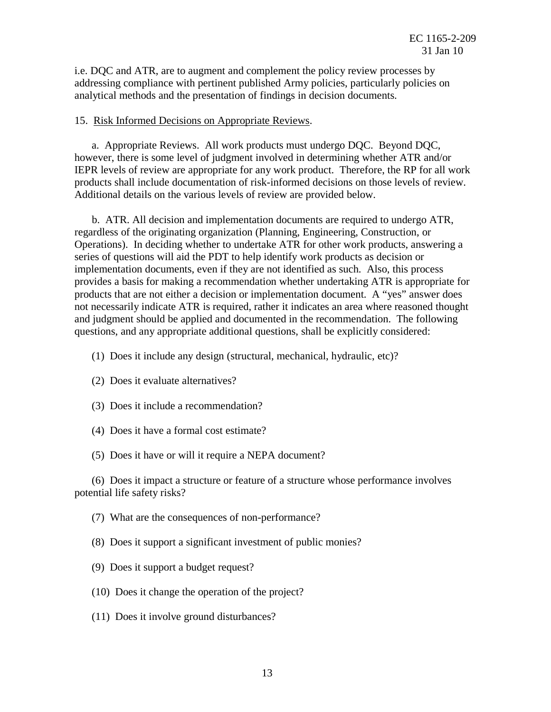i.e. DQC and ATR, are to augment and complement the policy review processes by addressing compliance with pertinent published Army policies, particularly policies on analytical methods and the presentation of findings in decision documents.

#### 15. Risk Informed Decisions on Appropriate Reviews.

 IEPR levels of review are appropriate for any work product. Therefore, the RP for all work products shall include documentation of risk-informed decisions on those levels of review. Additional details on the various levels of review are provided below. Additional details on the various levels of review are provided below. a. Appropriate Reviews. All work products must undergo DQC. Beyond DQC, however, there is some level of judgment involved in determining whether ATR and/or

 regardless of the originating organization (Planning, Engineering, Construction, or Operations). In deciding whether to undertake ATR for other work products, answering a series of questions will aid the PDT to help identify work products as decision or implementation documents, even if they are not identified as such. Also, this process not necessarily indicate ATR is required, rather it indicates an area where reasoned thought b. ATR. All decision and implementation documents are required to undergo ATR, provides a basis for making a recommendation whether undertaking ATR is appropriate for products that are not either a decision or implementation document. A "yes" answer does and judgment should be applied and documented in the recommendation. The following questions, and any appropriate additional questions, shall be explicitly considered:

- (1) Does it include any design (structural, mechanical, hydraulic, etc)?
- (2) Does it evaluate alternatives?
- (3) Does it include a recommendation?
- (4) Does it have a formal cost estimate?
- (5) Does it have or will it require a NEPA document?

(6) Does it impact a structure or feature of a structure whose performance involves potential life safety risks?

(7) What are the consequences of non-performance?

(8) Does it support a significant investment of public monies?

- (9) Does it support a budget request?
- (10) Does it change the operation of the project?
- (11) Does it involve ground disturbances?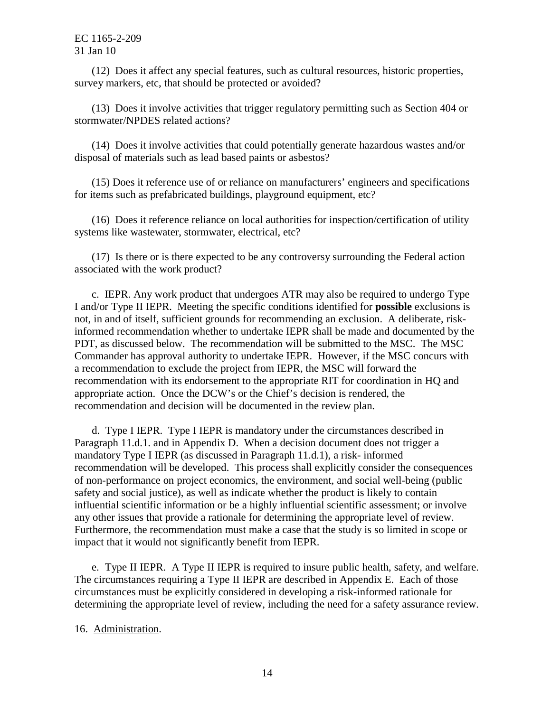survey markers, etc, that should be protected or avoided? (12) Does it affect any special features, such as cultural resources, historic properties,

(13) Does it involve activities that trigger regulatory permitting such as Section 404 or stormwater/NPDES related actions?

(14) Does it involve activities that could potentially generate hazardous wastes and/or disposal of materials such as lead based paints or asbestos?

(15) Does it reference use of or reliance on manufacturers' engineers and specifications for items such as prefabricated buildings, playground equipment, etc?

 systems like wastewater, stormwater, electrical, etc? (16) Does it reference reliance on local authorities for inspection/certification of utility

(17) Is there or is there expected to be any controversy surrounding the Federal action associated with the work product?

 I and/or Type II IEPR. Meeting the specific conditions identified for **possible** exclusions is PDT, as discussed below. The recommendation will be submitted to the MSC. The MSC a recommendation to exclude the project from IEPR, the MSC will forward the recommendation with its endorsement to the appropriate RIT for coordination in HQ and appropriate action. Once the DCW's or the Chief's decision is rendered, the recommendation and decision will be documented in the review plan. c. IEPR. Any work product that undergoes ATR may also be required to undergo Type not, in and of itself, sufficient grounds for recommending an exclusion. A deliberate, riskinformed recommendation whether to undertake IEPR shall be made and documented by the Commander has approval authority to undertake IEPR. However, if the MSC concurs with

 Paragraph 11.d.1. and in Appendix D. When a decision document does not trigger a any other issues that provide a rationale for determining the appropriate level of review. any other issues that provide a rationale for determining the appropriate level of review. Furthermore, the recommendation must make a case that the study is so limited in scope or impact that it would not significantly benefit from IEPR. d. Type I IEPR. Type I IEPR is mandatory under the circumstances described in mandatory Type I IEPR (as discussed in Paragraph 11.d.1), a risk- informed recommendation will be developed. This process shall explicitly consider the consequences of non-performance on project economics, the environment, and social well-being (public safety and social justice), as well as indicate whether the product is likely to contain influential scientific information or be a highly influential scientific assessment; or involve

 The circumstances requiring a Type II IEPR are described in Appendix E. Each of those circumstances must be explicitly considered in developing a risk-informed rationale for determining the appropriate level of review, including the need for a safety assurance review. e. Type II IEPR. A Type II IEPR is required to insure public health, safety, and welfare.

16. Administration. 16. <u>Administration</u>.<br>14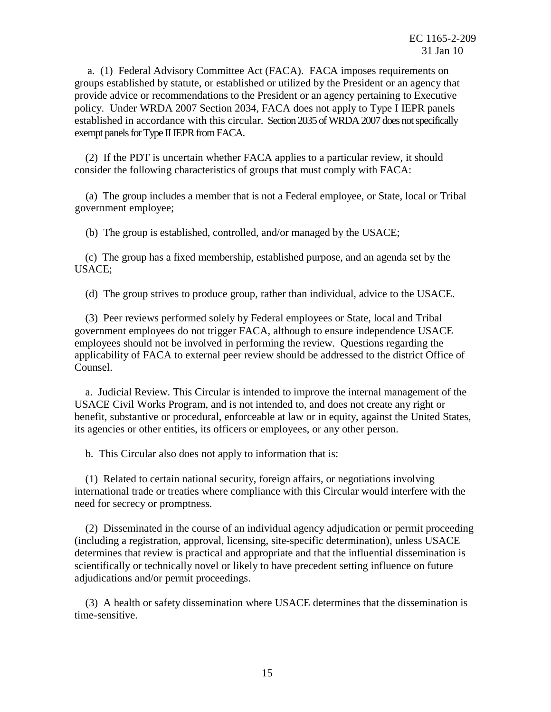groups established by statute, or established or utilized by the President or an agency that policy. Under WRDA 2007 Section 2034, FACA does not apply to Type I IEPR panels established in accordance with this circular. Section 2035 of WRDA 2007 does not specifically exempt panels for Type II IEPR from FACA. a. (1) Federal Advisory Committee Act (FACA). FACA imposes requirements on provide advice or recommendations to the President or an agency pertaining to Executive

 consider the following characteristics of groups that must comply with FACA: (2) If the PDT is uncertain whether FACA applies to a particular review, it should

(a) The group includes a member that is not a Federal employee, or State, local or Tribal government employee;

(b) The group is established, controlled, and/or managed by the USACE;

(c) The group has a fixed membership, established purpose, and an agenda set by the USACE;

(d) The group strives to produce group, rather than individual, advice to the USACE.

(3) Peer reviews performed solely by Federal employees or State, local and Tribal government employees do not trigger FACA, although to ensure independence USACE employees should not be involved in performing the review. Questions regarding the applicability of FACA to external peer review should be addressed to the district Office of Counsel.

 its agencies or other entities, its officers or employees, or any other person. a. Judicial Review. This Circular is intended to improve the internal management of the USACE Civil Works Program, and is not intended to, and does not create any right or benefit, substantive or procedural, enforceable at law or in equity, against the United States,

b. This Circular also does not apply to information that is:

(1) Related to certain national security, foreign affairs, or negotiations involving international trade or treaties where compliance with this Circular would interfere with the need for secrecy or promptness.

 determines that review is practical and appropriate and that the influential dissemination is scientifically or technically novel or likely to have precedent setting influence on future (2) Disseminated in the course of an individual agency adjudication or permit proceeding (including a registration, approval, licensing, site-specific determination), unless USACE adjudications and/or permit proceedings.

(3) A health or safety dissemination where USACE determines that the dissemination is time-sensitive.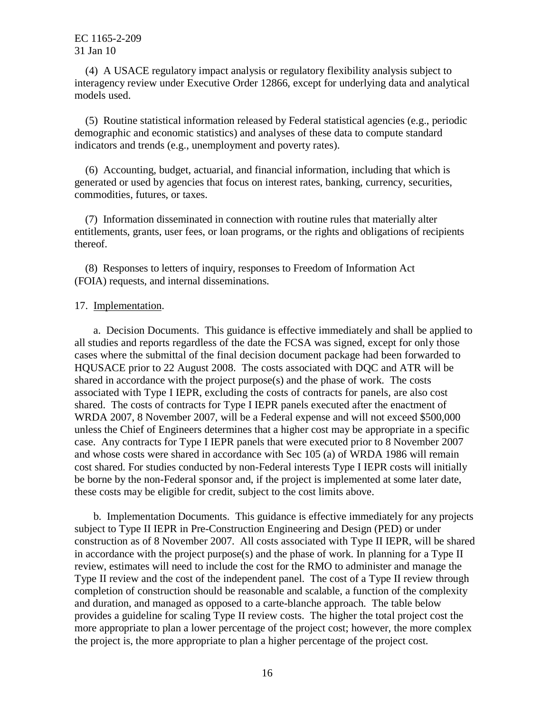(4) A USACE regulatory impact analysis or regulatory flexibility analysis subject to interagency review under Executive Order 12866, except for underlying data and analytical models used.

 demographic and economic statistics) and analyses of these data to compute standard (5) Routine statistical information released by Federal statistical agencies (e.g., periodic indicators and trends (e.g., unemployment and poverty rates).

(6) Accounting, budget, actuarial, and financial information, including that which is generated or used by agencies that focus on interest rates, banking, currency, securities, commodities, futures, or taxes.

(7) Information disseminated in connection with routine rules that materially alter entitlements, grants, user fees, or loan programs, or the rights and obligations of recipients thereof.

(8) Responses to letters of inquiry, responses to Freedom of Information Act (FOIA) requests, and internal disseminations.

#### 17. Implementation.

 all studies and reports regardless of the date the FCSA was signed, except for only those shared in accordance with the project purpose(s) and the phase of work. The costs shared. The costs of contracts for Type I IEPR panels executed after the enactment of unless the Chief of Engineers determines that a higher cost may be appropriate in a specific case. Any contracts for Type I IEPR panels that were executed prior to 8 November 2007 these costs may be eligible for credit, subject to the cost limits above. a. Decision Documents. This guidance is effective immediately and shall be applied to cases where the submittal of the final decision document package had been forwarded to HQUSACE prior to 22 August 2008. The costs associated with DQC and ATR will be associated with Type I IEPR, excluding the costs of contracts for panels, are also cost WRDA 2007, 8 November 2007, will be a Federal expense and will not exceed \$500,000 and whose costs were shared in accordance with Sec 105 (a) of WRDA 1986 will remain cost shared. For studies conducted by non-Federal interests Type I IEPR costs will initially be borne by the non-Federal sponsor and, if the project is implemented at some later date,

 subject to Type II IEPR in Pre-Construction Engineering and Design (PED) or under construction as of 8 November 2007. All costs associated with Type II IEPR, will be shared review, estimates will need to include the cost for the RMO to administer and manage the provides a guideline for scaling Type II review costs. The higher the total project cost the b. Implementation Documents. This guidance is effective immediately for any projects in accordance with the project purpose(s) and the phase of work. In planning for a Type II Type II review and the cost of the independent panel. The cost of a Type II review through completion of construction should be reasonable and scalable, a function of the complexity and duration, and managed as opposed to a carte-blanche approach. The table below more appropriate to plan a lower percentage of the project cost; however, the more complex the project is, the more appropriate to plan a higher percentage of the project cost.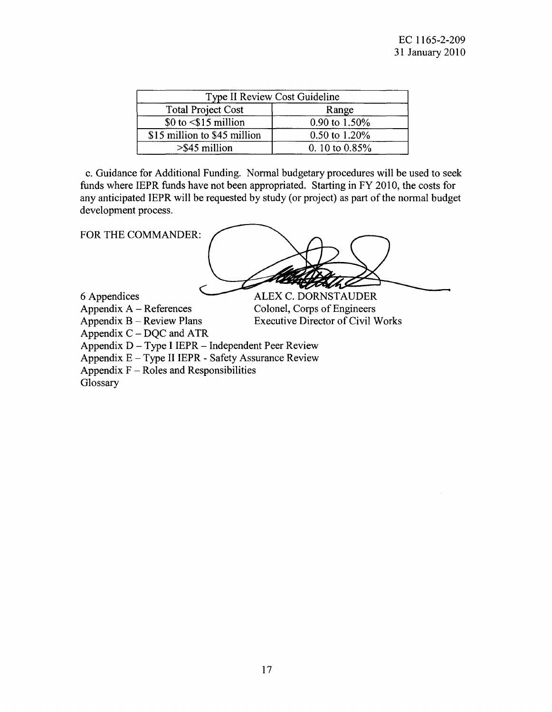|                              | Type II Review Cost Guideline |
|------------------------------|-------------------------------|
| <b>Total Project Cost</b>    | Range                         |
| $$0$ to $$\$ 15 million      | 0.90 to 1.50%                 |
| \$15 million to \$45 million | $0.50$ to $1.20\%$            |
| $>$ \$45 million             | 0. 10 to $0.85%$              |

c. Guidance for Additional Funding. Normal budgetary procedures will be used to seek funds where IEPR funds have not been appropriated. Starting in FY 2010, the costs for any anticipated IEPR will be requested by study (or project) as part of the normal budget development process.

FOR THE COMMANDER:

6 Appendices Appendix  $A -$  References

**ALEX C. DORNSTAUDER** Colonel, Corps of Engineers Executive Director of Civil Works

Appendix  $B -$  Review Plans Appendix  $C - DQC$  and ATR

Appendix  $D - Type I I EPR - Independent Peer Review$ 

Appendix  $E - Type II I EPR - Safety Assume Review$ 

Appendix  $F -$  Roles and Responsibilities

**Glossary**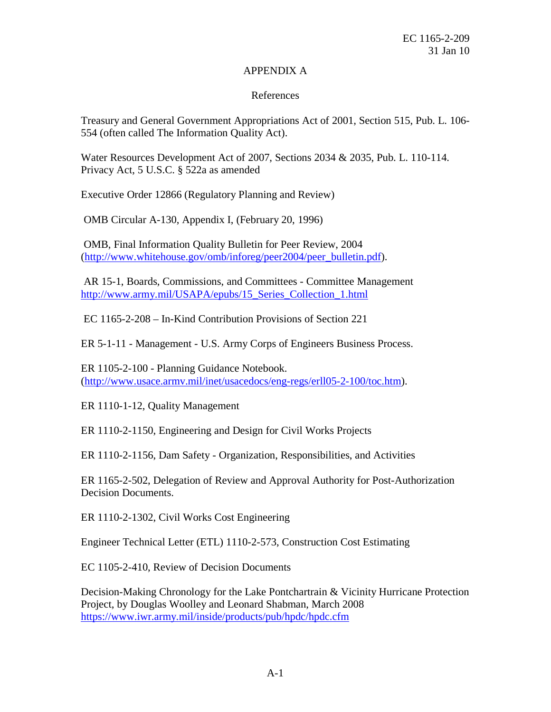## APPENDIX A

## References

Treasury and General Government Appropriations Act of 2001, Section 515, Pub. L. 106 554 (often called The Information Quality Act).

Water Resources Development Act of 2007, Sections 2034 & 2035, Pub. L. 110-114. Privacy Act, 5 U.S.C. § 522a as amended

Executive Order 12866 (Regulatory Planning and Review)

OMB Circular A-130, Appendix I, (February 20, 1996)

 OMB, Final Information Quality Bulletin for Peer Review, 2004 [\(http://www.whitehouse.gov/omb/inforeg/peer2004/peer\\_bulletin.pdf\)](http://www.whitehouse.gov/omb/inforeg/peer2004/peer_bulletin.pdf).

 AR 15-1, Boards, Commissions, and Committees - Committee Management [http://www.army.mil/USAPA/epubs/15\\_Series\\_Collection\\_1.html](http://www.army.mil/USAPA/epubs/15_Series_Collection_1.html) 

EC 1165-2-208 – In-Kind Contribution Provisions of Section 221

ER 5-1-11 - Management - U.S. Army Corps of Engineers Business Process.

 ER 1105-2-100 - Planning Guidance Notebook. [\(http://www.usace.armv.mil/inet/usacedocs/eng-regs/erll05-2-100/toc.htm\)](http://www.usace.armv.mil/inet/usacedocs/eng-regs/erll05-2-100/toc.htm).

ER 1110-1-12, Quality Management

ER 1110-2-1150, Engineering and Design for Civil Works Projects

ER 1110-2-1156, Dam Safety - Organization, Responsibilities, and Activities

ER 1165-2-502, Delegation of Review and Approval Authority for Post-Authorization Decision Documents.

ER 1110-2-1302, Civil Works Cost Engineering

Engineer Technical Letter (ETL) 1110-2-573, Construction Cost Estimating

EC 1105-2-410, Review of Decision Documents

 Decision-Making Chronology for the Lake Pontchartrain & Vicinity Hurricane Protection Project, by Douglas Woolley and Leonard Shabman, March 2008 <https://www.iwr.army.mil/inside/products/pub/hpdc/hpdc.cfm>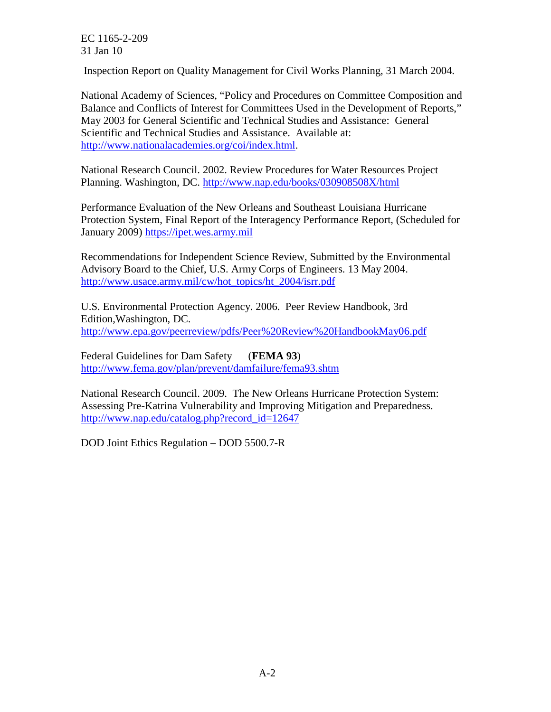Inspection Report on Quality Management for Civil Works Planning, 31 March 2004.

 National Academy of Sciences, "Policy and Procedures on Committee Composition and Balance and Conflicts of Interest for Committees Used in the Development of Reports," May 2003 for General Scientific and Technical Studies and Assistance: General Scientific and Technical Studies and Assistance. Available at: [http://www.nationalacademies.org/coi/index.html.](http://www.nationalacademies.org/coi/index.html)

 National Research Council. 2002. Review Procedures for Water Resources Project Planning. Washington, DC. http://www.nap.edu/books/030908508X/html

Planning. Washington, DC. <u>http://www.nap.edu/books/030908508X/html</u><br>Performance Evaluation of the New Orleans and Southeast Louisiana Hurricane Protection System, Final Report of the Interagency Performance Report, (Scheduled for January 2009) [https://ipet.wes.army.mil](https://ipet.wes.army.mil/) 

Recommendations for Independent Science Review, Submitted by the Environmental Advisory Board to the Chief, U.S. Army Corps of Engineers. 13 May 2004. [http://www.usace.army.mil/cw/hot\\_topics/ht\\_2004/isrr.pdf](http://www.usace.army.mil/cw/hot_topics/ht_2004/isrr.pdf) 

 U.S. Environmental Protection Agency. 2006. Peer Review Handbook, 3rd Edition,Washington, DC. <http://www.epa.gov/peerreview/pdfs/Peer%20Review%20HandbookMay06.pdf>

Federal Guidelines for Dam Safety (**FEMA 93**) <http://www.fema.gov/plan/prevent/damfailure/fema93.shtm>

 National Research Council. 2009. The New Orleans Hurricane Protection System: Assessing Pre-Katrina Vulnerability and Improving Mitigation and Preparedness. [http://www.nap.edu/catalog.php?record\\_id=12647](http://www.nap.edu/catalog.php?record_id=12647) 

DOD Joint Ethics Regulation – DOD 5500.7-R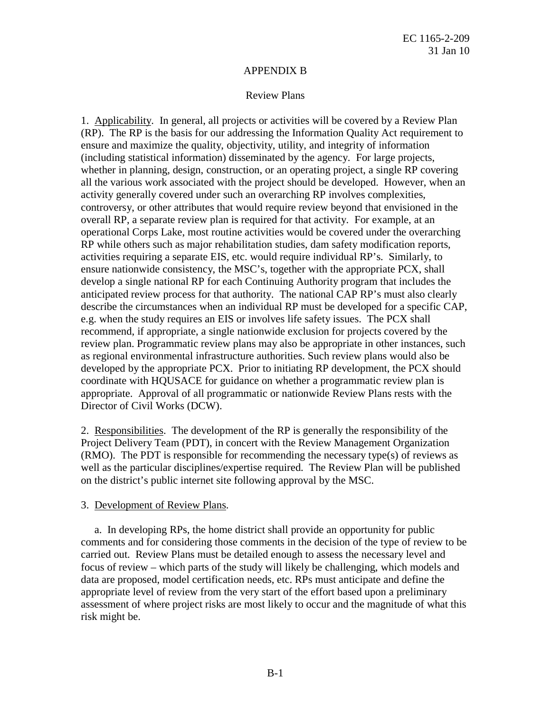#### APPENDIX B

#### Review Plans

 (RP). The RP is the basis for our addressing the Information Quality Act requirement to overall RP, a separate review plan is required for that activity. For example, at an activities requiring a separate EIS, etc. would require individual RP's. Similarly, to ensure nationwide consistency, the MSC's, together with the appropriate PCX, shall develop a single national RP for each Continuing Authority program that includes the anticipated review process for that authority. The national CAP RP's must also clearly e.g. when the study requires an EIS or involves life safety issues. The PCX shall recommend, if appropriate, a single nationwide exclusion for projects covered by the as regional environmental infrastructure authorities. Such review plans would also be developed by the appropriate PCX. Prior to initiating RP development, the PCX should appropriate. Approval of all programmatic or nationwide Review Plans rests with the Director of Civil Works (DCW). 1. Applicability. In general, all projects or activities will be covered by a Review Plan ensure and maximize the quality, objectivity, utility, and integrity of information (including statistical information) disseminated by the agency. For large projects, whether in planning, design, construction, or an operating project, a single RP covering all the various work associated with the project should be developed. However, when an activity generally covered under such an overarching RP involves complexities, controversy, or other attributes that would require review beyond that envisioned in the operational Corps Lake, most routine activities would be covered under the overarching RP while others such as major rehabilitation studies, dam safety modification reports, describe the circumstances when an individual RP must be developed for a specific CAP, review plan. Programmatic review plans may also be appropriate in other instances, such coordinate with HQUSACE for guidance on whether a programmatic review plan is

2. Responsibilities. The development of the RP is generally the responsibility of the (RMO). The PDT is responsible for recommending the necessary type(s) of reviews as Project Delivery Team (PDT), in concert with the Review Management Organization well as the particular disciplines/expertise required. The Review Plan will be published on the district's public internet site following approval by the MSC.

## 3. Development of Review Plans.

 comments and for considering those comments in the decision of the type of review to be carried out. Review Plans must be detailed enough to assess the necessary level and focus of review – which parts of the study will likely be challenging, which models and data are proposed, model certification needs, etc. RPs must anticipate and define the a. In developing RPs, the home district shall provide an opportunity for public appropriate level of review from the very start of the effort based upon a preliminary assessment of where project risks are most likely to occur and the magnitude of what this risk might be.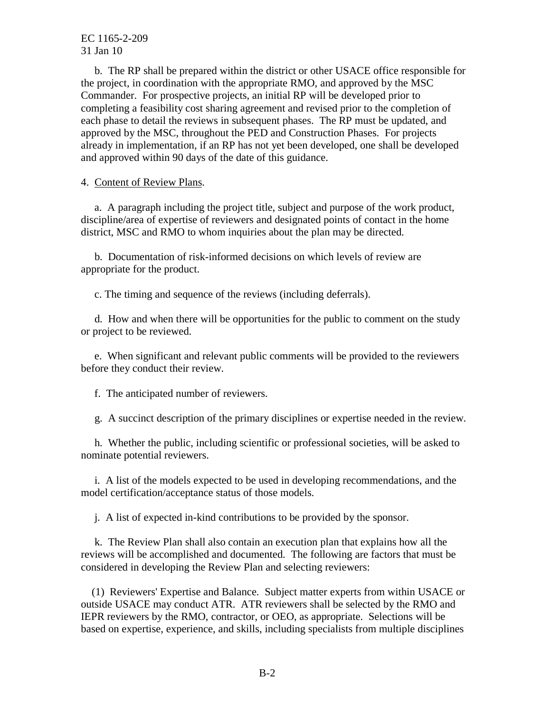Commander. For prospective projects, an initial RP will be developed prior to completing a feasibility cost sharing agreement and revised prior to the completion of approved by the MSC, throughout the PED and Construction Phases. For projects b. The RP shall be prepared within the district or other USACE office responsible for the project, in coordination with the appropriate RMO, and approved by the MSC each phase to detail the reviews in subsequent phases. The RP must be updated, and already in implementation, if an RP has not yet been developed, one shall be developed and approved within 90 days of the date of this guidance.

## 4. Content of Review Plans.

 district, MSC and RMO to whom inquiries about the plan may be directed. a. A paragraph including the project title, subject and purpose of the work product, discipline/area of expertise of reviewers and designated points of contact in the home

b. Documentation of risk-informed decisions on which levels of review are appropriate for the product.

c. The timing and sequence of the reviews (including deferrals).

d. How and when there will be opportunities for the public to comment on the study or project to be reviewed.

e. When significant and relevant public comments will be provided to the reviewers before they conduct their review.

f. The anticipated number of reviewers.

g. A succinct description of the primary disciplines or expertise needed in the review.

h. Whether the public, including scientific or professional societies, will be asked to nominate potential reviewers.

i. A list of the models expected to be used in developing recommendations, and the model certification/acceptance status of those models.

j. A list of expected in-kind contributions to be provided by the sponsor.

k. The Review Plan shall also contain an execution plan that explains how all the reviews will be accomplished and documented. The following are factors that must be considered in developing the Review Plan and selecting reviewers:

 IEPR reviewers by the RMO, contractor, or OEO, as appropriate. Selections will be based on expertise, experience, and skills, including specialists from multiple disciplines (1) Reviewers' Expertise and Balance. Subject matter experts from within USACE or outside USACE may conduct ATR. ATR reviewers shall be selected by the RMO and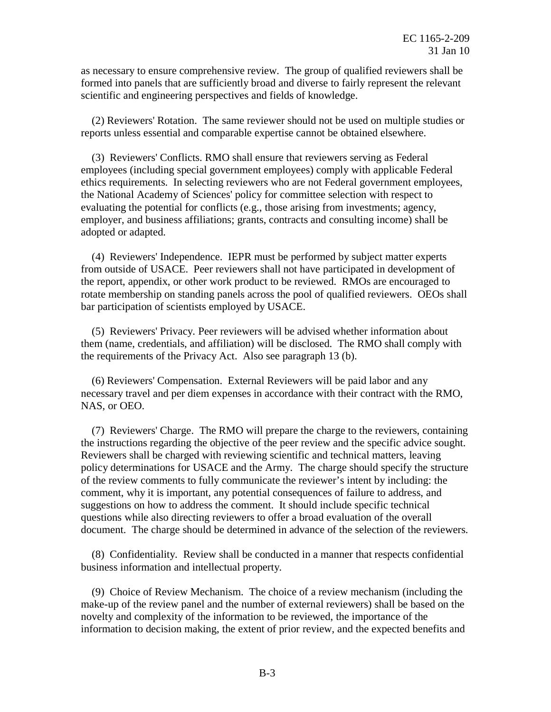as necessary to ensure comprehensive review. The group of qualified reviewers shall be formed into panels that are sufficiently broad and diverse to fairly represent the relevant scientific and engineering perspectives and fields of knowledge.

 reports unless essential and comparable expertise cannot be obtained elsewhere. (2) Reviewers' Rotation. The same reviewer should not be used on multiple studies or

 employees (including special government employees) comply with applicable Federal ethics requirements. In selecting reviewers who are not Federal government employees, the National Academy of Sciences' policy for committee selection with respect to evaluating the potential for conflicts (e.g., those arising from investments; agency, employer, and business affiliations; grants, contracts and consulting income) shall be (3) Reviewers' Conflicts. RMO shall ensure that reviewers serving as Federal adopted or adapted.

 rotate membership on standing panels across the pool of qualified reviewers. OEOs shall (4) Reviewers' Independence. IEPR must be performed by subject matter experts from outside of USACE. Peer reviewers shall not have participated in development of the report, appendix, or other work product to be reviewed. RMOs are encouraged to bar participation of scientists employed by USACE.

 them (name, credentials, and affiliation) will be disclosed. The RMO shall comply with the requirements of the Privacy Act. Also see paragraph 13 (b). (5) Reviewers' Privacy. Peer reviewers will be advised whether information about

 necessary travel and per diem expenses in accordance with their contract with the RMO, (6) Reviewers' Compensation. External Reviewers will be paid labor and any NAS, or OEO.

 the instructions regarding the objective of the peer review and the specific advice sought. policy determinations for USACE and the Army. The charge should specify the structure of the review comments to fully communicate the reviewer's intent by including: the comment, why it is important, any potential consequences of failure to address, and questions while also directing reviewers to offer a broad evaluation of the overall (7) Reviewers' Charge. The RMO will prepare the charge to the reviewers, containing Reviewers shall be charged with reviewing scientific and technical matters, leaving suggestions on how to address the comment. It should include specific technical document. The charge should be determined in advance of the selection of the reviewers.

(8) Confidentiality. Review shall be conducted in a manner that respects confidential business information and intellectual property.

 make-up of the review panel and the number of external reviewers) shall be based on the information to decision making, the extent of prior review, and the expected benefits and (9) Choice of Review Mechanism. The choice of a review mechanism (including the novelty and complexity of the information to be reviewed, the importance of the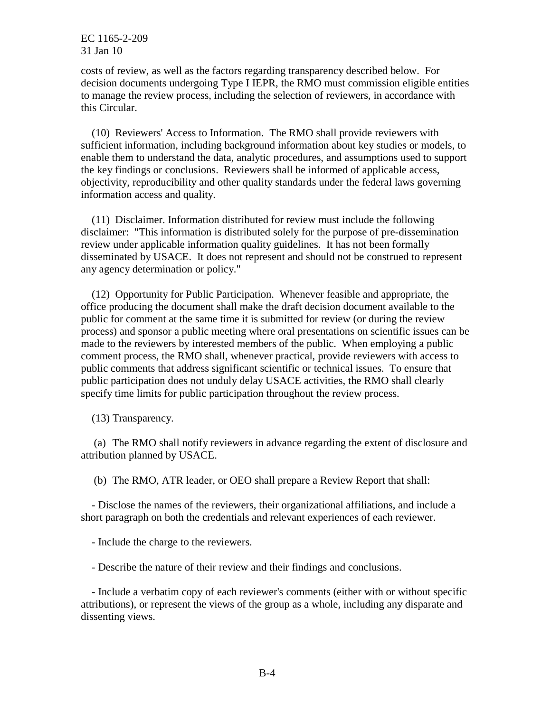costs of review, as well as the factors regarding transparency described below. For decision documents undergoing Type I IEPR, the RMO must commission eligible entities to manage the review process, including the selection of reviewers, in accordance with this Circular.

information access and quality. (10) Reviewers' Access to Information. The RMO shall provide reviewers with sufficient information, including background information about key studies or models, to enable them to understand the data, analytic procedures, and assumptions used to support the key findings or conclusions. Reviewers shall be informed of applicable access, objectivity, reproducibility and other quality standards under the federal laws governing

 disclaimer: "This information is distributed solely for the purpose of pre-dissemination review under applicable information quality guidelines. It has not been formally disseminated by USACE. It does not represent and should not be construed to represent  $(11)$  Disclaimer. Information distributed for review must include the following any agency determination or policy."

 public for comment at the same time it is submitted for review (or during the review made to the reviewers by interested members of the public. When employing a public comment process, the RMO shall, whenever practical, provide reviewers with access to public comments that address significant scientific or technical issues. To ensure that (12) Opportunity for Public Participation. Whenever feasible and appropriate, the office producing the document shall make the draft decision document available to the process) and sponsor a public meeting where oral presentations on scientific issues can be public participation does not unduly delay USACE activities, the RMO shall clearly specify time limits for public participation throughout the review process.

(13) Transparency.

 (a) The RMO shall notify reviewers in advance regarding the extent of disclosure and attribution planned by USACE.

(b) The RMO, ATR leader, or OEO shall prepare a Review Report that shall:

 short paragraph on both the credentials and relevant experiences of each reviewer. - Disclose the names of the reviewers, their organizational affiliations, and include a

- Include the charge to the reviewers.

- Describe the nature of their review and their findings and conclusions.

 attributions), or represent the views of the group as a whole, including any disparate and - Include a verbatim copy of each reviewer's comments (either with or without specific dissenting views.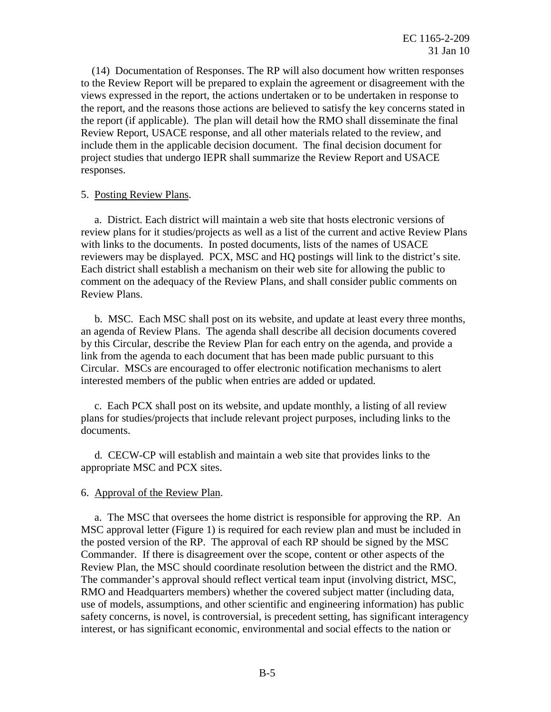the report, and the reasons those actions are believed to satisfy the key concerns stated in the report (if applicable). The plan will detail how the RMO shall disseminate the final Review Report, USACE response, and all other materials related to the review, and include them in the applicable decision document. The final decision document for project studies that undergo IEPR shall summarize the Review Report and USACE (14) Documentation of Responses. The RP will also document how written responses to the Review Report will be prepared to explain the agreement or disagreement with the views expressed in the report, the actions undertaken or to be undertaken in response to responses.

## 5. Posting Review Plans.

 review plans for it studies/projects as well as a list of the current and active Review Plans with links to the documents. In posted documents, lists of the names of USACE reviewers may be displayed. PCX, MSC and HQ postings will link to the district's site. Each district shall establish a mechanism on their web site for allowing the public to a. District. Each district will maintain a web site that hosts electronic versions of comment on the adequacy of the Review Plans, and shall consider public comments on Review Plans.

 an agenda of Review Plans. The agenda shall describe all decision documents covered Circular. MSCs are encouraged to offer electronic notification mechanisms to alert b. MSC. Each MSC shall post on its website, and update at least every three months, by this Circular, describe the Review Plan for each entry on the agenda, and provide a link from the agenda to each document that has been made public pursuant to this interested members of the public when entries are added or updated.

c. Each PCX shall post on its website, and update monthly, a listing of all review plans for studies/projects that include relevant project purposes, including links to the documents.

 appropriate MSC and PCX sites. d. CECW-CP will establish and maintain a web site that provides links to the

# 6. Approval of the Review Plan.

Review Plan, the MSC should coordinate resolution between the district and the RMO. interest, or has significant economic, environmental and social effects to the nation or a. The MSC that oversees the home district is responsible for approving the RP. An MSC approval letter (Figure 1) is required for each review plan and must be included in the posted version of the RP. The approval of each RP should be signed by the MSC Commander. If there is disagreement over the scope, content or other aspects of the The commander's approval should reflect vertical team input (involving district, MSC, RMO and Headquarters members) whether the covered subject matter (including data, use of models, assumptions, and other scientific and engineering information) has public safety concerns, is novel, is controversial, is precedent setting, has significant interagency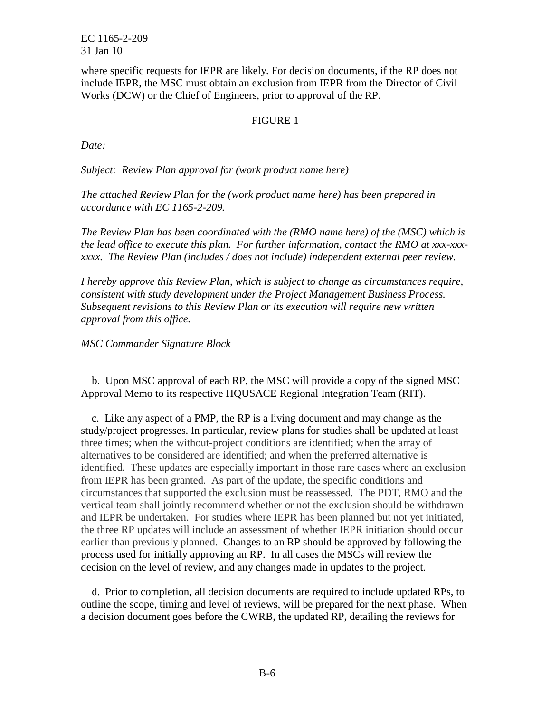where specific requests for IEPR are likely. For decision documents, if the RP does not Works (DCW) or the Chief of Engineers, prior to approval of the RP. include IEPR, the MSC must obtain an exclusion from IEPR from the Director of Civil

## FIGURE 1

*Date:* 

 *Subject: Review Plan approval for (work product name here)* 

 *The attached Review Plan for the (work product name here) has been prepared in accordance with EC 1165-2-209.* 

 *The Review Plan has been coordinated with the (RMO name here) of the (MSC) which is the lead office to execute this plan. For further information, contact the RMO at xxx-xxx- xxxx. The Review Plan (includes / does not include) independent external peer review.* 

 *Subsequent revisions to this Review Plan or its execution will require new written I hereby approve this Review Plan, which is subject to change as circumstances require, consistent with study development under the Project Management Business Process. approval from this office.* 

*MSC Commander Signature Block* 

b. Upon MSC approval of each RP, the MSC will provide a copy of the signed MSC Approval Memo to its respective HQUSACE Regional Integration Team (RIT).

 three times; when the without-project conditions are identified; when the array of alternatives to be considered are identified; and when the preferred alternative is identified. These updates are especially important in those rare cases where an exclusion from IEPR has been granted. As part of the update, the specific conditions and circumstances that supported the exclusion must be reassessed. The PDT, RMO and the vertical team shall jointly recommend whether or not the exclusion should be withdrawn the three RP updates will include an assessment of whether IEPR initiation should occur earlier than previously planned. Changes to an RP should be approved by following the process used for initially approving an RP. In all cases the MSCs will review the decision on the level of review, and any changes made in updates to the project. c. Like any aspect of a PMP, the RP is a living document and may change as the study/project progresses. In particular, review plans for studies shall be updated at least and IEPR be undertaken. For studies where IEPR has been planned but not yet initiated,

 a decision document goes before the CWRB, the updated RP, detailing the reviews for d. Prior to completion, all decision documents are required to include updated RPs, to outline the scope, timing and level of reviews, will be prepared for the next phase. When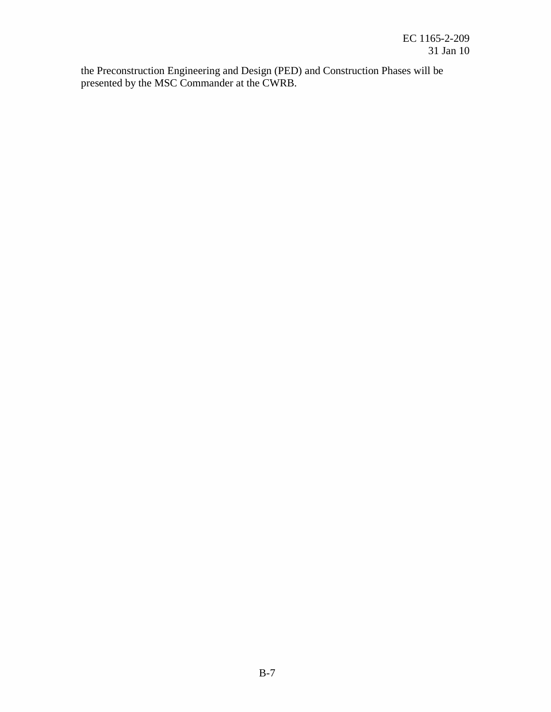presented by the MSC Commander at the CWRB. the Preconstruction Engineering and Design (PED) and Construction Phases will be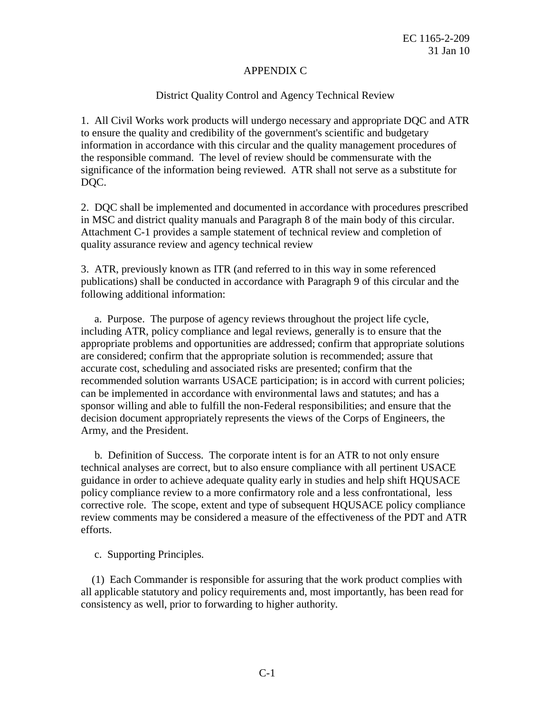#### APPENDIX C

#### District Quality Control and Agency Technical Review

 information in accordance with this circular and the quality management procedures of significance of the information being reviewed. ATR shall not serve as a substitute for 1. All Civil Works work products will undergo necessary and appropriate DQC and ATR to ensure the quality and credibility of the government's scientific and budgetary the responsible command. The level of review should be commensurate with the DQC.

 Attachment C-1 provides a sample statement of technical review and completion of 2. DQC shall be implemented and documented in accordance with procedures prescribed in MSC and district quality manuals and Paragraph 8 of the main body of this circular. quality assurance review and agency technical review

3. ATR, previously known as ITR (and referred to in this way in some referenced publications) shall be conducted in accordance with Paragraph 9 of this circular and the following additional information:

 appropriate problems and opportunities are addressed; confirm that appropriate solutions are considered; confirm that the appropriate solution is recommended; assure that accurate cost, scheduling and associated risks are presented; confirm that the sponsor willing and able to fulfill the non-Federal responsibilities; and ensure that the Army, and the President. a. Purpose. The purpose of agency reviews throughout the project life cycle, including ATR, policy compliance and legal reviews, generally is to ensure that the recommended solution warrants USACE participation; is in accord with current policies; can be implemented in accordance with environmental laws and statutes; and has a decision document appropriately represents the views of the Corps of Engineers, the

 technical analyses are correct, but to also ensure compliance with all pertinent USACE guidance in order to achieve adequate quality early in studies and help shift HQUSACE policy compliance review to a more confirmatory role and a less confrontational, less review comments may be considered a measure of the effectiveness of the PDT and ATR b. Definition of Success. The corporate intent is for an ATR to not only ensure corrective role. The scope, extent and type of subsequent HQUSACE policy compliance efforts.

c. Supporting Principles.

(1) Each Commander is responsible for assuring that the work product complies with all applicable statutory and policy requirements and, most importantly, has been read for consistency as well, prior to forwarding to higher authority.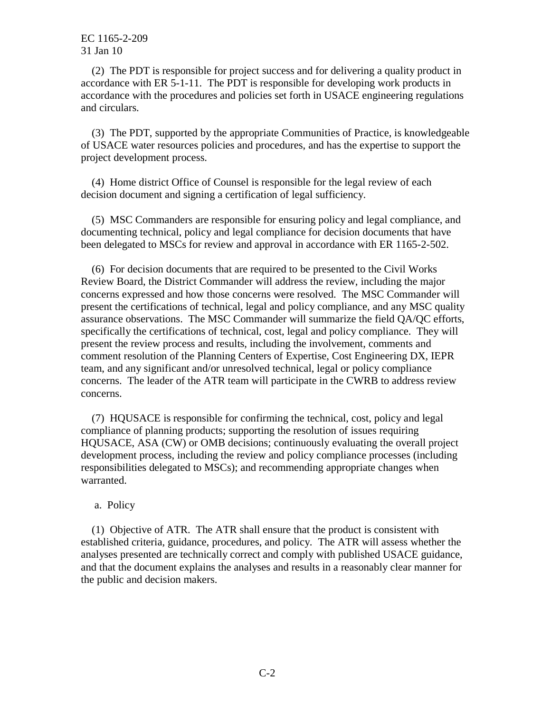(2) The PDT is responsible for project success and for delivering a quality product in accordance with ER 5-1-11. The PDT is responsible for developing work products in accordance with the procedures and policies set forth in USACE engineering regulations and circulars.

(3) The PDT, supported by the appropriate Communities of Practice, is knowledgeable of USACE water resources policies and procedures, and has the expertise to support the project development process.

(4) Home district Office of Counsel is responsible for the legal review of each decision document and signing a certification of legal sufficiency.

 documenting technical, policy and legal compliance for decision documents that have been delegated to MSCs for review and approval in accordance with ER 1165-2-502. (5) MSC Commanders are responsible for ensuring policy and legal compliance, and

 assurance observations. The MSC Commander will summarize the field QA/QC efforts, concerns. The leader of the ATR team will participate in the CWRB to address review (6) For decision documents that are required to be presented to the Civil Works Review Board, the District Commander will address the review, including the major concerns expressed and how those concerns were resolved. The MSC Commander will present the certifications of technical, legal and policy compliance, and any MSC quality specifically the certifications of technical, cost, legal and policy compliance. They will present the review process and results, including the involvement, comments and comment resolution of the Planning Centers of Expertise, Cost Engineering DX, IEPR team, and any significant and/or unresolved technical, legal or policy compliance concerns.

(7) HQUSACE is responsible for confirming the technical, cost, policy and legal compliance of planning products; supporting the resolution of issues requiring HQUSACE, ASA (CW) or OMB decisions; continuously evaluating the overall project development process, including the review and policy compliance processes (including responsibilities delegated to MSCs); and recommending appropriate changes when warranted.

a. Policy

(1) Objective of ATR. The ATR shall ensure that the product is consistent with established criteria, guidance, procedures, and policy. The ATR will assess whether the analyses presented are technically correct and comply with published USACE guidance, and that the document explains the analyses and results in a reasonably clear manner for the public and decision makers.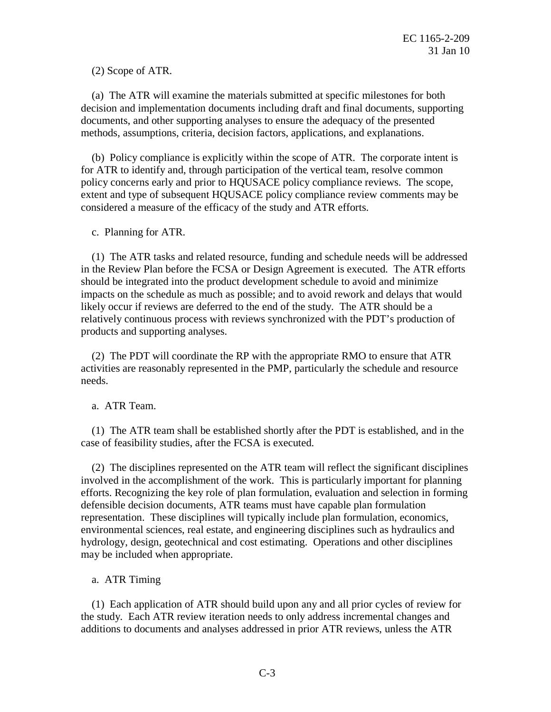(2) Scope of ATR.

(a) The ATR will examine the materials submitted at specific milestones for both decision and implementation documents including draft and final documents, supporting documents, and other supporting analyses to ensure the adequacy of the presented methods, assumptions, criteria, decision factors, applications, and explanations.

 policy concerns early and prior to HQUSACE policy compliance reviews. The scope, (b) Policy compliance is explicitly within the scope of ATR. The corporate intent is for ATR to identify and, through participation of the vertical team, resolve common extent and type of subsequent HQUSACE policy compliance review comments may be considered a measure of the efficacy of the study and ATR efforts.

c. Planning for ATR.

 in the Review Plan before the FCSA or Design Agreement is executed. The ATR efforts likely occur if reviews are deferred to the end of the study. The ATR should be a (1) The ATR tasks and related resource, funding and schedule needs will be addressed should be integrated into the product development schedule to avoid and minimize impacts on the schedule as much as possible; and to avoid rework and delays that would relatively continuous process with reviews synchronized with the PDT's production of products and supporting analyses.

 activities are reasonably represented in the PMP, particularly the schedule and resource (2) The PDT will coordinate the RP with the appropriate RMO to ensure that ATR needs.

a. ATR Team.

case of feasibility studies, after the FCSA is executed. (1) The ATR team shall be established shortly after the PDT is established, and in the

 representation. These disciplines will typically include plan formulation, economics, environmental sciences, real estate, and engineering disciplines such as hydraulics and hydrology, design, geotechnical and cost estimating. Operations and other disciplines  $(2)$  The disciplines represented on the ATR team will reflect the significant disciplines involved in the accomplishment of the work. This is particularly important for planning efforts. Recognizing the key role of plan formulation, evaluation and selection in forming defensible decision documents, ATR teams must have capable plan formulation may be included when appropriate.

a. ATR Timing

 the study. Each ATR review iteration needs to only address incremental changes and (1) Each application of ATR should build upon any and all prior cycles of review for additions to documents and analyses addressed in prior ATR reviews, unless the ATR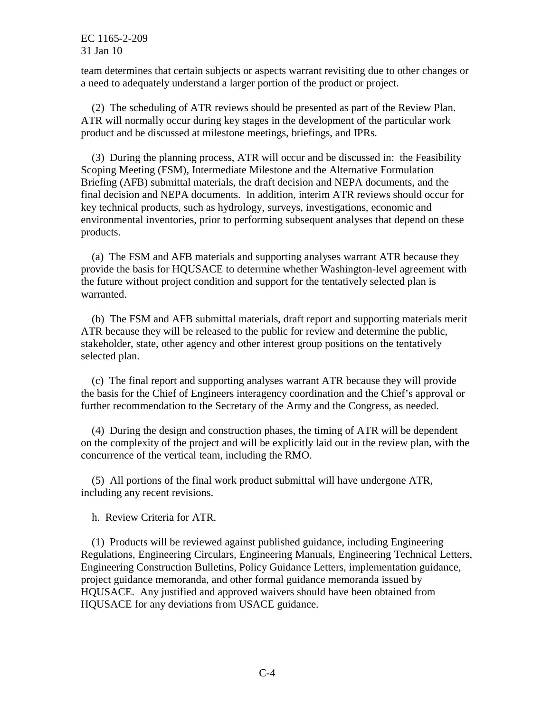team determines that certain subjects or aspects warrant revisiting due to other changes or a need to adequately understand a larger portion of the product or project.

(2) The scheduling of ATR reviews should be presented as part of the Review Plan. ATR will normally occur during key stages in the development of the particular work product and be discussed at milestone meetings, briefings, and IPRs.

(3) During the planning process, ATR will occur and be discussed in: the Feasibility Scoping Meeting (FSM), Intermediate Milestone and the Alternative Formulation Briefing (AFB) submittal materials, the draft decision and NEPA documents, and the final decision and NEPA documents. In addition, interim ATR reviews should occur for key technical products, such as hydrology, surveys, investigations, economic and environmental inventories, prior to performing subsequent analyses that depend on these products.

 the future without project condition and support for the tentatively selected plan is (a) The FSM and AFB materials and supporting analyses warrant ATR because they provide the basis for HQUSACE to determine whether Washington-level agreement with warranted.

(b) The FSM and AFB submittal materials, draft report and supporting materials merit ATR because they will be released to the public for review and determine the public, stakeholder, state, other agency and other interest group positions on the tentatively selected plan.

 the basis for the Chief of Engineers interagency coordination and the Chief's approval or further recommendation to the Secretary of the Army and the Congress, as needed. (c) The final report and supporting analyses warrant ATR because they will provide

(4) During the design and construction phases, the timing of ATR will be dependent on the complexity of the project and will be explicitly laid out in the review plan, with the concurrence of the vertical team, including the RMO.

(5) All portions of the final work product submittal will have undergone ATR, including any recent revisions.

h. Review Criteria for ATR.

 Regulations, Engineering Circulars, Engineering Manuals, Engineering Technical Letters, (1) Products will be reviewed against published guidance, including Engineering Engineering Construction Bulletins, Policy Guidance Letters, implementation guidance, project guidance memoranda, and other formal guidance memoranda issued by HQUSACE. Any justified and approved waivers should have been obtained from HQUSACE for any deviations from USACE guidance.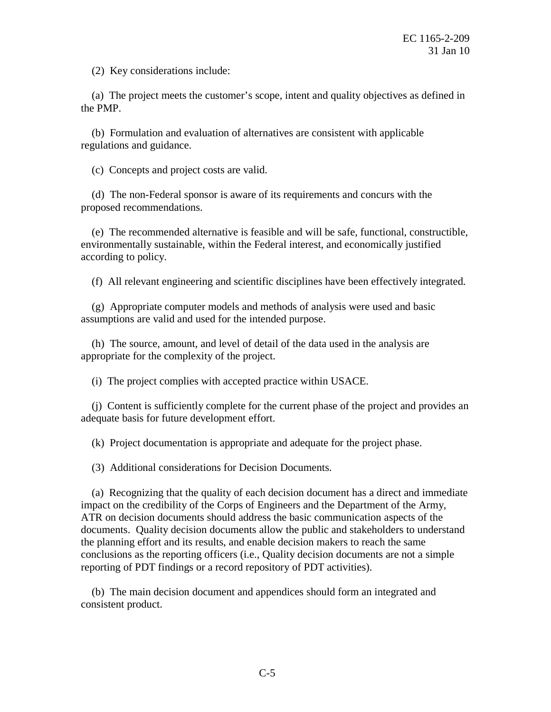(2) Key considerations include:

(a) The project meets the customer's scope, intent and quality objectives as defined in the PMP.

(b) Formulation and evaluation of alternatives are consistent with applicable regulations and guidance.

(c) Concepts and project costs are valid.

(d) The non-Federal sponsor is aware of its requirements and concurs with the proposed recommendations.

 environmentally sustainable, within the Federal interest, and economically justified (e) The recommended alternative is feasible and will be safe, functional, constructible, according to policy.

(f) All relevant engineering and scientific disciplines have been effectively integrated.

(g) Appropriate computer models and methods of analysis were used and basic assumptions are valid and used for the intended purpose.

(h) The source, amount, and level of detail of the data used in the analysis are appropriate for the complexity of the project.

(i) The project complies with accepted practice within USACE.

(j) Content is sufficiently complete for the current phase of the project and provides an adequate basis for future development effort.

(k) Project documentation is appropriate and adequate for the project phase.

(3) Additional considerations for Decision Documents.

 the planning effort and its results, and enable decision makers to reach the same conclusions as the reporting officers (i.e., Quality decision documents are not a simple reporting of PDT findings or a record repository of PDT activities). (a) Recognizing that the quality of each decision document has a direct and immediate impact on the credibility of the Corps of Engineers and the Department of the Army, ATR on decision documents should address the basic communication aspects of the documents. Quality decision documents allow the public and stakeholders to understand

(b) The main decision document and appendices should form an integrated and consistent product.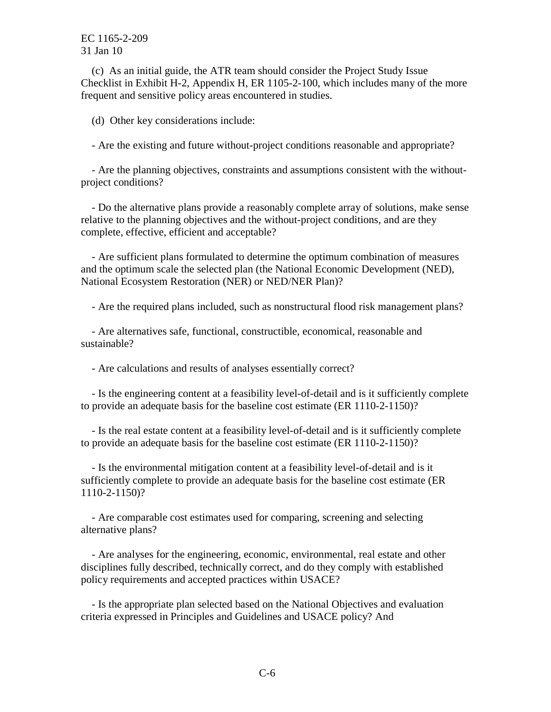Checklist in Exhibit H-2, Appendix H, ER 1105-2-100, which includes many of the more (c) As an initial guide, the ATR team should consider the Project Study Issue frequent and sensitive policy areas encountered in studies.

(d) Other key considerations include:

- Are the existing and future without-project conditions reasonable and appropriate?

 project conditions? - Are the planning objectives, constraints and assumptions consistent with the without-

- Do the alternative plans provide a reasonably complete array of solutions, make sense relative to the planning objectives and the without-project conditions, and are they complete, effective, efficient and acceptable?

- Are sufficient plans formulated to determine the optimum combination of measures and the optimum scale the selected plan (the National Economic Development (NED), National Ecosystem Restoration (NER) or NED/NER Plan)?

- Are the required plans included, such as nonstructural flood risk management plans?

- Are alternatives safe, functional, constructible, economical, reasonable and sustainable?

- Are calculations and results of analyses essentially correct?

 to provide an adequate basis for the baseline cost estimate (ER 1110-2-1150)? - Is the engineering content at a feasibility level-of-detail and is it sufficiently complete

 to provide an adequate basis for the baseline cost estimate (ER 1110-2-1150)? - Is the real estate content at a feasibility level-of-detail and is it sufficiently complete

 sufficiently complete to provide an adequate basis for the baseline cost estimate (ER - Is the environmental mitigation content at a feasibility level-of-detail and is it 1110-2-1150)?

- Are comparable cost estimates used for comparing, screening and selecting alternative plans?

 policy requirements and accepted practices within USACE? - Are analyses for the engineering, economic, environmental, real estate and other disciplines fully described, technically correct, and do they comply with established

- Is the appropriate plan selected based on the National Objectives and evaluation criteria expressed in Principles and Guidelines and USACE policy? And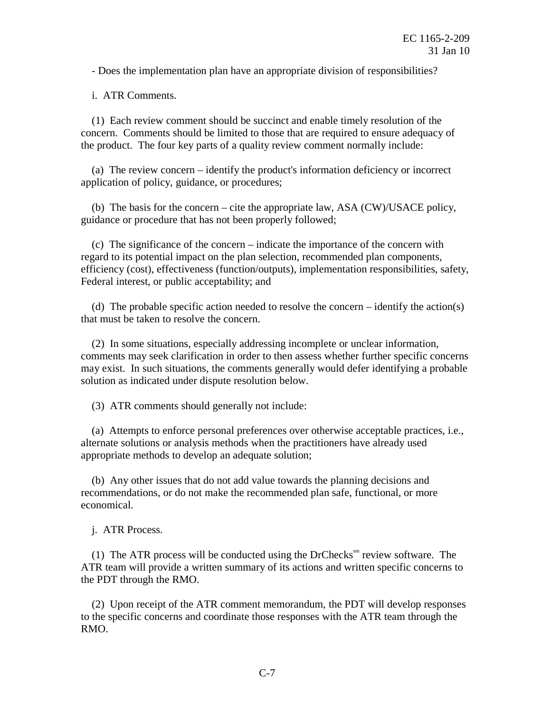- Does the implementation plan have an appropriate division of responsibilities?

i. ATR Comments.

 concern. Comments should be limited to those that are required to ensure adequacy of (1) Each review comment should be succinct and enable timely resolution of the the product. The four key parts of a quality review comment normally include:

(a) The review concern – identify the product's information deficiency or incorrect application of policy, guidance, or procedures;

(b) The basis for the concern – cite the appropriate law, ASA (CW)/USACE policy, guidance or procedure that has not been properly followed;

 efficiency (cost), effectiveness (function/outputs), implementation responsibilities, safety, (c) The significance of the concern – indicate the importance of the concern with regard to its potential impact on the plan selection, recommended plan components, Federal interest, or public acceptability; and

(d) The probable specific action needed to resolve the concern – identify the action(s) that must be taken to resolve the concern.

 comments may seek clarification in order to then assess whether further specific concerns (2) In some situations, especially addressing incomplete or unclear information, may exist. In such situations, the comments generally would defer identifying a probable solution as indicated under dispute resolution below.

(3) ATR comments should generally not include:

 alternate solutions or analysis methods when the practitioners have already used (a) Attempts to enforce personal preferences over otherwise acceptable practices, i.e., appropriate methods to develop an adequate solution;

 recommendations, or do not make the recommended plan safe, functional, or more (b) Any other issues that do not add value towards the planning decisions and economical.

j. ATR Process.

 ATR team will provide a written summary of its actions and written specific concerns to (1) The ATR process will be conducted using the DrChecks $\mathbf{s}^{\text{sm}}$  review software. The the PDT through the RMO.

(2) Upon receipt of the ATR comment memorandum, the PDT will develop responses to the specific concerns and coordinate those responses with the ATR team through the RMO.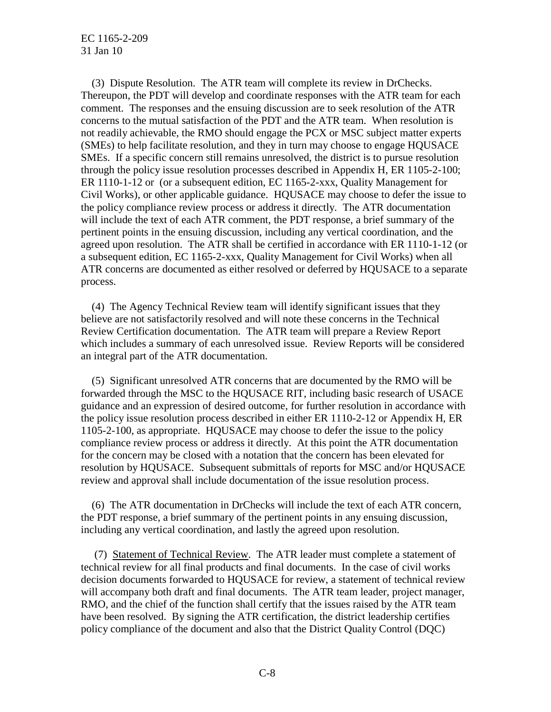Thereupon, the PDT will develop and coordinate responses with the ATR team for each comment. The responses and the ensuing discussion are to seek resolution of the ATR concerns to the mutual satisfaction of the PDT and the ATR team. When resolution is not readily achievable, the RMO should engage the PCX or MSC subject matter experts (SMEs) to help facilitate resolution, and they in turn may choose to engage HQUSACE SMEs. If a specific concern still remains unresolved, the district is to pursue resolution ER 1110-1-12 or (or a subsequent edition, EC 1165-2-xxx, Quality Management for the policy compliance review process or address it directly. The ATR documentation will include the text of each ATR comment, the PDT response, a brief summary of the agreed upon resolution. The ATR shall be certified in accordance with ER 1110-1-12 (or ATR concerns are documented as either resolved or deferred by HQUSACE to a separate (3) Dispute Resolution. The ATR team will complete its review in DrChecks. through the policy issue resolution processes described in Appendix H, ER 1105-2-100; Civil Works), or other applicable guidance. HQUSACE may choose to defer the issue to pertinent points in the ensuing discussion, including any vertical coordination, and the a subsequent edition, EC 1165-2-xxx, Quality Management for Civil Works) when all process.

(4) The Agency Technical Review team will identify significant issues that they believe are not satisfactorily resolved and will note these concerns in the Technical Review Certification documentation. The ATR team will prepare a Review Report which includes a summary of each unresolved issue. Review Reports will be considered an integral part of the ATR documentation.

 the policy issue resolution process described in either ER 1110-2-12 or Appendix H, ER for the concern may be closed with a notation that the concern has been elevated for review and approval shall include documentation of the issue resolution process. (5) Significant unresolved ATR concerns that are documented by the RMO will be forwarded through the MSC to the HQUSACE RIT, including basic research of USACE guidance and an expression of desired outcome, for further resolution in accordance with 1105-2-100, as appropriate. HQUSACE may choose to defer the issue to the policy compliance review process or address it directly. At this point the ATR documentation resolution by HQUSACE. Subsequent submittals of reports for MSC and/or HQUSACE

 including any vertical coordination, and lastly the agreed upon resolution. (6) The ATR documentation in DrChecks will include the text of each ATR concern, the PDT response, a brief summary of the pertinent points in any ensuing discussion,

 technical review for all final products and final documents. In the case of civil works decision documents forwarded to HQUSACE for review, a statement of technical review RMO, and the chief of the function shall certify that the issues raised by the ATR team have been resolved. By signing the ATR certification, the district leadership certifies (7) Statement of Technical Review. The ATR leader must complete a statement of will accompany both draft and final documents. The ATR team leader, project manager, policy compliance of the document and also that the District Quality Control (DQC)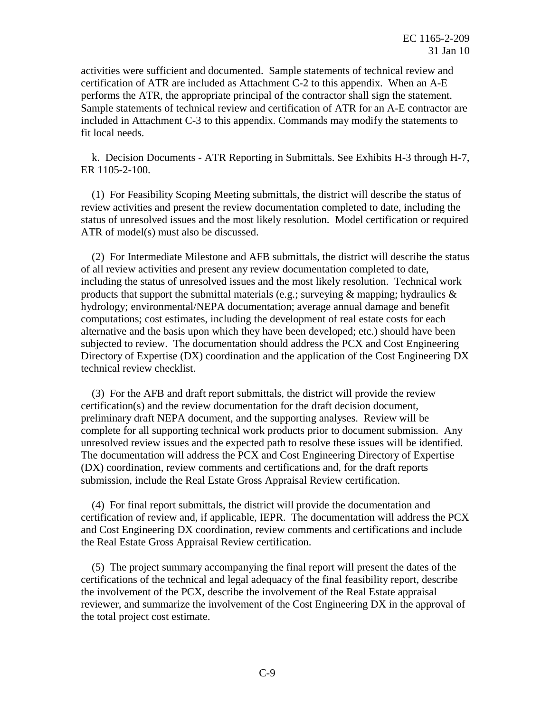activities were sufficient and documented. Sample statements of technical review and certification of ATR are included as Attachment C-2 to this appendix. When an A-E performs the ATR, the appropriate principal of the contractor shall sign the statement. Sample statements of technical review and certification of ATR for an A-E contractor are included in Attachment C-3 to this appendix. Commands may modify the statements to fit local needs.

k. Decision Documents - ATR Reporting in Submittals. See Exhibits H-3 through H-7, ER 1105-2-100.

 review activities and present the review documentation completed to date, including the status of unresolved issues and the most likely resolution. Model certification or required (1) For Feasibility Scoping Meeting submittals, the district will describe the status of ATR of model(s) must also be discussed.

 of all review activities and present any review documentation completed to date, computations; cost estimates, including the development of real estate costs for each subjected to review. The documentation should address the PCX and Cost Engineering Directory of Expertise (DX) coordination and the application of the Cost Engineering DX (2) For Intermediate Milestone and AFB submittals, the district will describe the status including the status of unresolved issues and the most likely resolution. Technical work products that support the submittal materials (e.g.; surveying  $\&$  mapping; hydraulics  $\&$ hydrology; environmental/NEPA documentation; average annual damage and benefit alternative and the basis upon which they have been developed; etc.) should have been technical review checklist.

 unresolved review issues and the expected path to resolve these issues will be identified. The documentation will address the PCX and Cost Engineering Directory of Expertise (DX) coordination, review comments and certifications and, for the draft reports submission, include the Real Estate Gross Appraisal Review certification. (3) For the AFB and draft report submittals, the district will provide the review certification(s) and the review documentation for the draft decision document, preliminary draft NEPA document, and the supporting analyses. Review will be complete for all supporting technical work products prior to document submission. Any

 the Real Estate Gross Appraisal Review certification. (4) For final report submittals, the district will provide the documentation and certification of review and, if applicable, IEPR. The documentation will address the PCX and Cost Engineering DX coordination, review comments and certifications and include

 certifications of the technical and legal adequacy of the final feasibility report, describe the involvement of the PCX, describe the involvement of the Real Estate appraisal the total project cost estimate. (5) The project summary accompanying the final report will present the dates of the reviewer, and summarize the involvement of the Cost Engineering DX in the approval of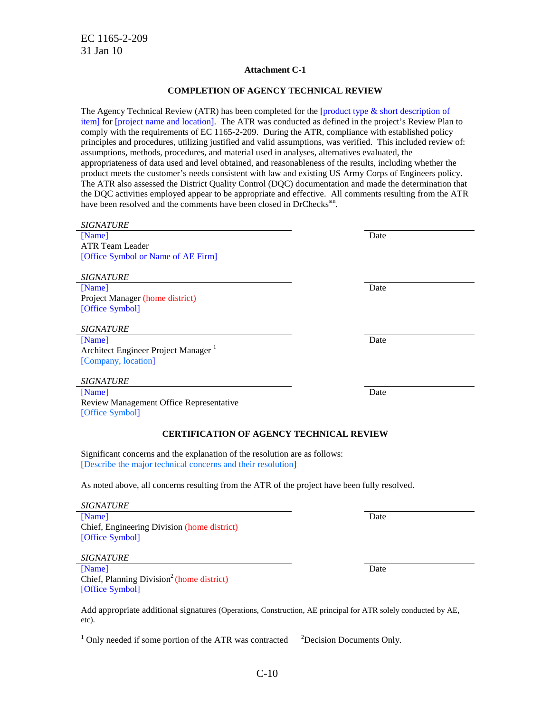#### **Attachment C-1**

#### **COMPLETION OF AGENCY TECHNICAL REVIEW**

 principles and procedures, utilizing justified and valid assumptions, was verified. This included review of: product meets the customer's needs consistent with law and existing US Army Corps of Engineers policy. the DQC activities employed appear to be appropriate and effective. All comments resulting from the ATR The Agency Technical Review (ATR) has been completed for the [product type & short description of item] for [project name and location]. The ATR was conducted as defined in the project's Review Plan to comply with the requirements of EC 1165-2-209. During the ATR, compliance with established policy assumptions, methods, procedures, and material used in analyses, alternatives evaluated, the appropriateness of data used and level obtained, and reasonableness of the results, including whether the The ATR also assessed the District Quality Control (DQC) documentation and made the determination that have been resolved and the comments have been closed in DrChecks<sup>sm</sup>.

| <b>SIGNATURE</b>                                                                                                                           |      |
|--------------------------------------------------------------------------------------------------------------------------------------------|------|
| [Name]                                                                                                                                     | Date |
| <b>ATR Team Leader</b>                                                                                                                     |      |
| [Office Symbol or Name of AE Firm]                                                                                                         |      |
|                                                                                                                                            |      |
| <b>SIGNATURE</b>                                                                                                                           |      |
| [Name]                                                                                                                                     | Date |
| Project Manager (home district)                                                                                                            |      |
| [Office Symbol]                                                                                                                            |      |
| <b>SIGNATURE</b>                                                                                                                           |      |
|                                                                                                                                            | Date |
| [Name]<br>Architect Engineer Project Manager                                                                                               |      |
| [Company, location]                                                                                                                        |      |
|                                                                                                                                            |      |
| <b>SIGNATURE</b>                                                                                                                           |      |
| [Name]                                                                                                                                     | Date |
| Review Management Office Representative                                                                                                    |      |
| [Office Symbol]                                                                                                                            |      |
| <b>CERTIFICATION OF AGENCY TECHNICAL REVIEW</b>                                                                                            |      |
|                                                                                                                                            |      |
| Significant concerns and the explanation of the resolution are as follows:<br>[Describe the major technical concerns and their resolution] |      |
| As noted above, all concerns resulting from the ATR of the project have been fully resolved.                                               |      |
| <b>SIGNATURE</b>                                                                                                                           |      |
| [Name]                                                                                                                                     | Date |
| Chief, Engineering Division (home district)                                                                                                |      |
| [Office Symbol]                                                                                                                            |      |
|                                                                                                                                            |      |
| <b>SIGNATURE</b>                                                                                                                           |      |
| [Name]                                                                                                                                     | Date |
| Chief, Planning Division <sup>2</sup> (home district)                                                                                      |      |
| [Office Symbol]                                                                                                                            |      |
|                                                                                                                                            |      |
| Add appropriate additional signatures (Operations, Construction, AE principal for ATR solely conducted by AE,<br>etc).                     |      |

 $1$  Only needed if some portion of the ATR was contracted  $2$ <sup>2</sup>Decision Documents Only.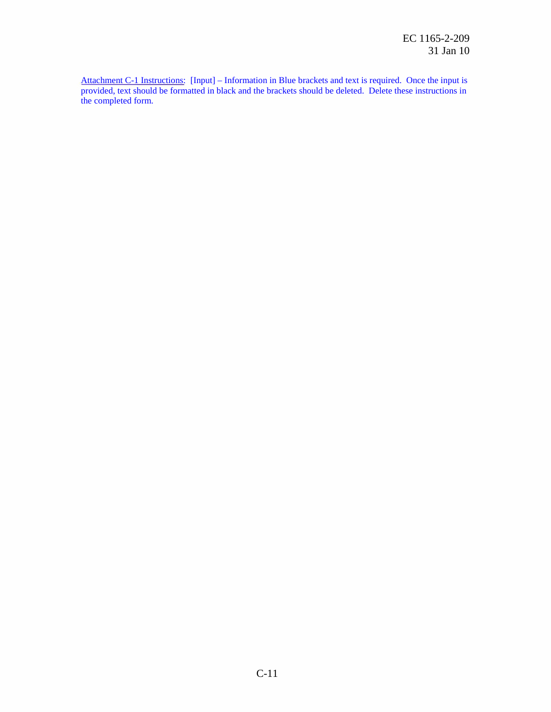Attachment C-1 Instructions: [Input] – Information in Blue brackets and text is required. Once the input is provided, text should be formatted in black and the brackets should be deleted. Delete these instructions in the completed form.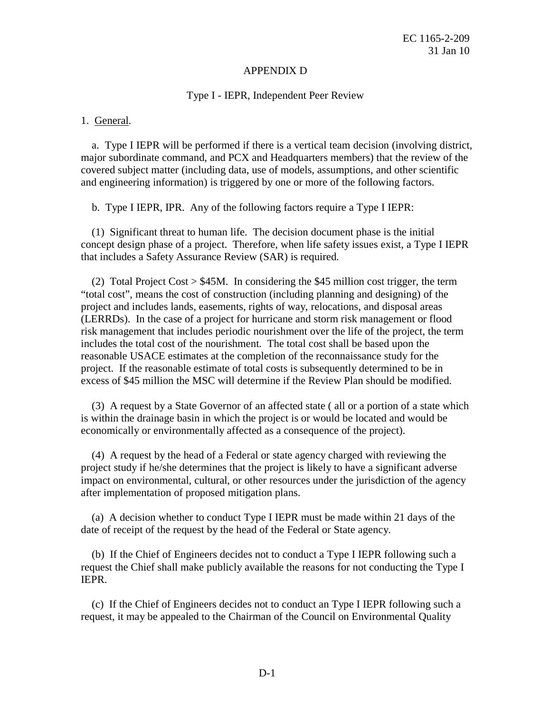#### APPENDIX D

#### Type I - IEPR, Independent Peer Review

#### 1. General.

a. Type I IEPR will be performed if there is a vertical team decision (involving district, major subordinate command, and PCX and Headquarters members) that the review of the covered subject matter (including data, use of models, assumptions, and other scientific and engineering information) is triggered by one or more of the following factors.

b. Type I IEPR, IPR. Any of the following factors require a Type I IEPR:

 concept design phase of a project. Therefore, when life safety issues exist, a Type I IEPR that includes a Safety Assurance Review (SAR) is required. (1) Significant threat to human life. The decision document phase is the initial

 project and includes lands, easements, rights of way, relocations, and disposal areas risk management that includes periodic nourishment over the life of the project, the term reasonable USACE estimates at the completion of the reconnaissance study for the project. If the reasonable estimate of total costs is subsequently determined to be in excess of \$45 million the MSC will determine if the Review Plan should be modified. (2) Total Project Cost > \$45M. In considering the \$45 million cost trigger, the term "total cost", means the cost of construction (including planning and designing) of the (LERRDs). In the case of a project for hurricane and storm risk management or flood includes the total cost of the nourishment. The total cost shall be based upon the

 economically or environmentally affected as a consequence of the project). (3) A request by a State Governor of an affected state ( all or a portion of a state which is within the drainage basin in which the project is or would be located and would be

(4) A request by the head of a Federal or state agency charged with reviewing the project study if he/she determines that the project is likely to have a significant adverse impact on environmental, cultural, or other resources under the jurisdiction of the agency after implementation of proposed mitigation plans.

(a) A decision whether to conduct Type I IEPR must be made within 21 days of the date of receipt of the request by the head of the Federal or State agency.

(b) If the Chief of Engineers decides not to conduct a Type I IEPR following such a request the Chief shall make publicly available the reasons for not conducting the Type I IEPR.

(c) If the Chief of Engineers decides not to conduct an Type I IEPR following such a request, it may be appealed to the Chairman of the Council on Environmental Quality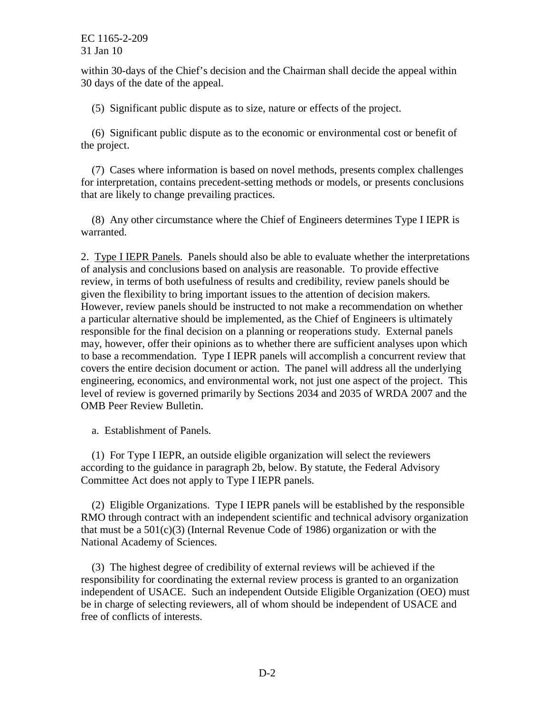within 30-days of the Chief's decision and the Chairman shall decide the appeal within 30 days of the date of the appeal.

(5) Significant public dispute as to size, nature or effects of the project.

(6) Significant public dispute as to the economic or environmental cost or benefit of the project.

(7) Cases where information is based on novel methods, presents complex challenges for interpretation, contains precedent-setting methods or models, or presents conclusions that are likely to change prevailing practices.

(8) Any other circumstance where the Chief of Engineers determines Type I IEPR is warranted.

2. Type I IEPR Panels. Panels should also be able to evaluate whether the interpretations of analysis and conclusions based on analysis are reasonable. To provide effective review, in terms of both usefulness of results and credibility, review panels should be a particular alternative should be implemented, as the Chief of Engineers is ultimately may, however, offer their opinions as to whether there are sufficient analyses upon which to base a recommendation. Type I IEPR panels will accomplish a concurrent review that covers the entire decision document or action. The panel will address all the underlying engineering, economics, and environmental work, not just one aspect of the project. This given the flexibility to bring important issues to the attention of decision makers. However, review panels should be instructed to not make a recommendation on whether responsible for the final decision on a planning or reoperations study. External panels level of review is governed primarily by Sections 2034 and 2035 of WRDA 2007 and the OMB Peer Review Bulletin.

a. Establishment of Panels.

(1) For Type I IEPR, an outside eligible organization will select the reviewers according to the guidance in paragraph 2b, below. By statute, the Federal Advisory Committee Act does not apply to Type I IEPR panels.

 RMO through contract with an independent scientific and technical advisory organization (2) Eligible Organizations. Type I IEPR panels will be established by the responsible that must be a  $501(c)(3)$  (Internal Revenue Code of 1986) organization or with the National Academy of Sciences.

 independent of USACE. Such an independent Outside Eligible Organization (OEO) must be in charge of selecting reviewers, all of whom should be independent of USACE and (3) The highest degree of credibility of external reviews will be achieved if the responsibility for coordinating the external review process is granted to an organization free of conflicts of interests.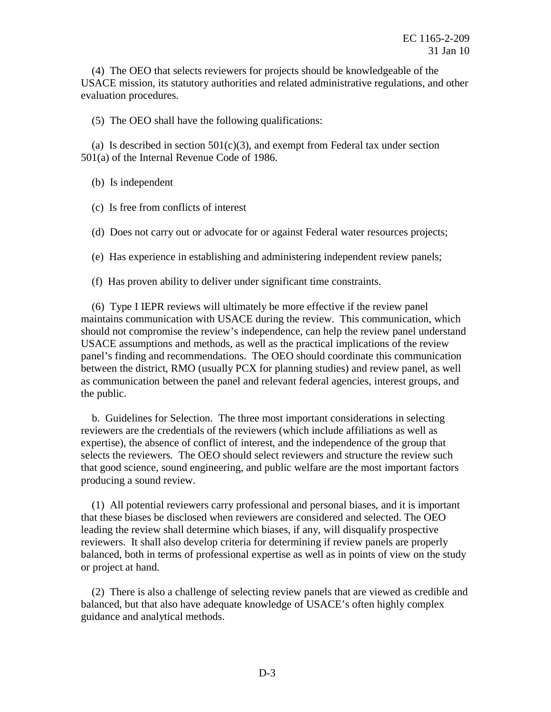USACE mission, its statutory authorities and related administrative regulations, and other (4) The OEO that selects reviewers for projects should be knowledgeable of the evaluation procedures.

(5) The OEO shall have the following qualifications:

(a) Is described in section  $501(c)(3)$ , and exempt from Federal tax under section 501(a) of the Internal Revenue Code of 1986.

(b) Is independent

(c) Is free from conflicts of interest

(d) Does not carry out or advocate for or against Federal water resources projects;

(e) Has experience in establishing and administering independent review panels;

(f) Has proven ability to deliver under significant time constraints.

 between the district, RMO (usually PCX for planning studies) and review panel, as well as communication between the panel and relevant federal agencies, interest groups, and (6) Type I IEPR reviews will ultimately be more effective if the review panel maintains communication with USACE during the review. This communication, which should not compromise the review's independence, can help the review panel understand USACE assumptions and methods, as well as the practical implications of the review panel's finding and recommendations. The OEO should coordinate this communication the public.

 reviewers are the credentials of the reviewers (which include affiliations as well as producing a sound review. b. Guidelines for Selection. The three most important considerations in selecting expertise), the absence of conflict of interest, and the independence of the group that selects the reviewers. The OEO should select reviewers and structure the review such that good science, sound engineering, and public welfare are the most important factors

 that these biases be disclosed when reviewers are considered and selected. The OEO leading the review shall determine which biases, if any, will disqualify prospective balanced, both in terms of professional expertise as well as in points of view on the study (1) All potential reviewers carry professional and personal biases, and it is important reviewers. It shall also develop criteria for determining if review panels are properly or project at hand.

(2) There is also a challenge of selecting review panels that are viewed as credible and balanced, but that also have adequate knowledge of USACE's often highly complex guidance and analytical methods.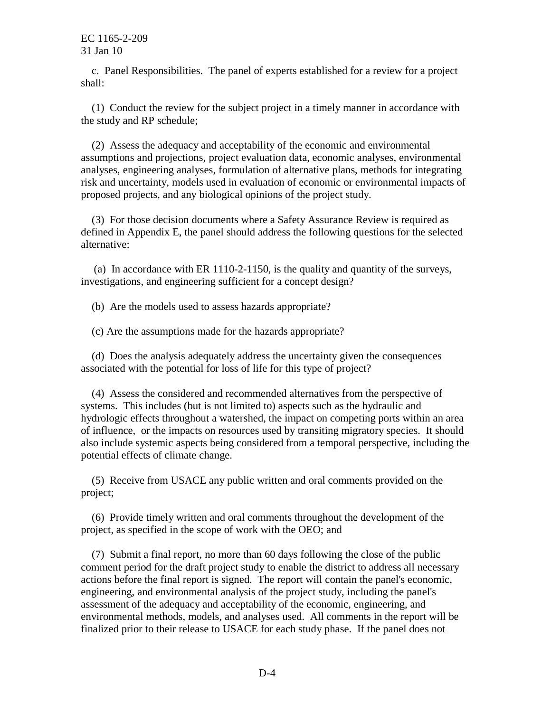c. Panel Responsibilities. The panel of experts established for a review for a project shall:

(1) Conduct the review for the subject project in a timely manner in accordance with the study and RP schedule;

 analyses, engineering analyses, formulation of alternative plans, methods for integrating risk and uncertainty, models used in evaluation of economic or environmental impacts of (2) Assess the adequacy and acceptability of the economic and environmental assumptions and projections, project evaluation data, economic analyses, environmental proposed projects, and any biological opinions of the project study.

(3) For those decision documents where a Safety Assurance Review is required as defined in Appendix E, the panel should address the following questions for the selected alternative:

 investigations, and engineering sufficient for a concept design? (a) In accordance with ER 1110-2-1150, is the quality and quantity of the surveys,

(b) Are the models used to assess hazards appropriate?

(c) Are the assumptions made for the hazards appropriate?

(d) Does the analysis adequately address the uncertainty given the consequences associated with the potential for loss of life for this type of project?

 systems. This includes (but is not limited to) aspects such as the hydraulic and hydrologic effects throughout a watershed, the impact on competing ports within an area of influence, or the impacts on resources used by transiting migratory species. It should potential effects of climate change. (4) Assess the considered and recommended alternatives from the perspective of also include systemic aspects being considered from a temporal perspective, including the

(5) Receive from USACE any public written and oral comments provided on the project;

 project, as specified in the scope of work with the OEO; and (6) Provide timely written and oral comments throughout the development of the

 actions before the final report is signed. The report will contain the panel's economic, environmental methods, models, and analyses used. All comments in the report will be finalized prior to their release to USACE for each study phase. If the panel does not (7) Submit a final report, no more than 60 days following the close of the public comment period for the draft project study to enable the district to address all necessary engineering, and environmental analysis of the project study, including the panel's assessment of the adequacy and acceptability of the economic, engineering, and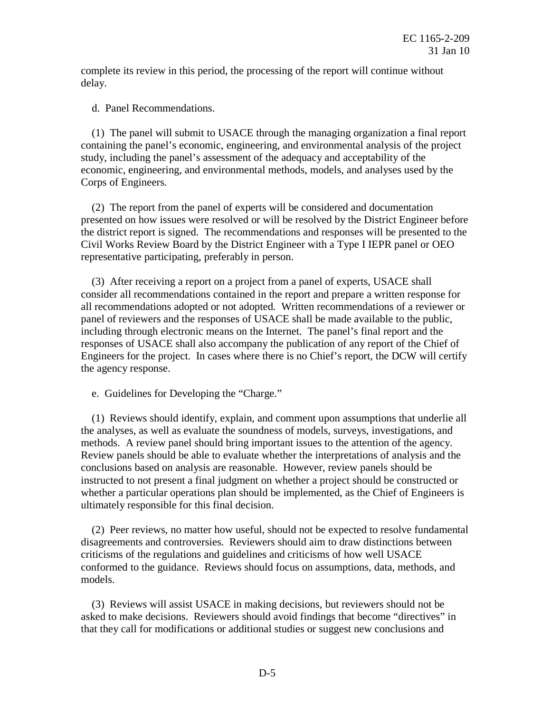complete its review in this period, the processing of the report will continue without delay.

d. Panel Recommendations.

 study, including the panel's assessment of the adequacy and acceptability of the economic, engineering, and environmental methods, models, and analyses used by the (1) The panel will submit to USACE through the managing organization a final report containing the panel's economic, engineering, and environmental analysis of the project Corps of Engineers.

 the district report is signed. The recommendations and responses will be presented to the (2) The report from the panel of experts will be considered and documentation presented on how issues were resolved or will be resolved by the District Engineer before Civil Works Review Board by the District Engineer with a Type I IEPR panel or OEO representative participating, preferably in person.

 consider all recommendations contained in the report and prepare a written response for panel of reviewers and the responses of USACE shall be made available to the public, including through electronic means on the Internet. The panel's final report and the Engineers for the project. In cases where there is no Chief's report, the DCW will certify (3) After receiving a report on a project from a panel of experts, USACE shall all recommendations adopted or not adopted. Written recommendations of a reviewer or responses of USACE shall also accompany the publication of any report of the Chief of the agency response.

e. Guidelines for Developing the "Charge."

 the analyses, as well as evaluate the soundness of models, surveys, investigations, and methods. A review panel should bring important issues to the attention of the agency. Review panels should be able to evaluate whether the interpretations of analysis and the conclusions based on analysis are reasonable. However, review panels should be ultimately responsible for this final decision. (1) Reviews should identify, explain, and comment upon assumptions that underlie all instructed to not present a final judgment on whether a project should be constructed or whether a particular operations plan should be implemented, as the Chief of Engineers is

 conformed to the guidance. Reviews should focus on assumptions, data, methods, and (2) Peer reviews, no matter how useful, should not be expected to resolve fundamental disagreements and controversies. Reviewers should aim to draw distinctions between criticisms of the regulations and guidelines and criticisms of how well USACE models.

(3) Reviews will assist USACE in making decisions, but reviewers should not be asked to make decisions. Reviewers should avoid findings that become "directives" in that they call for modifications or additional studies or suggest new conclusions and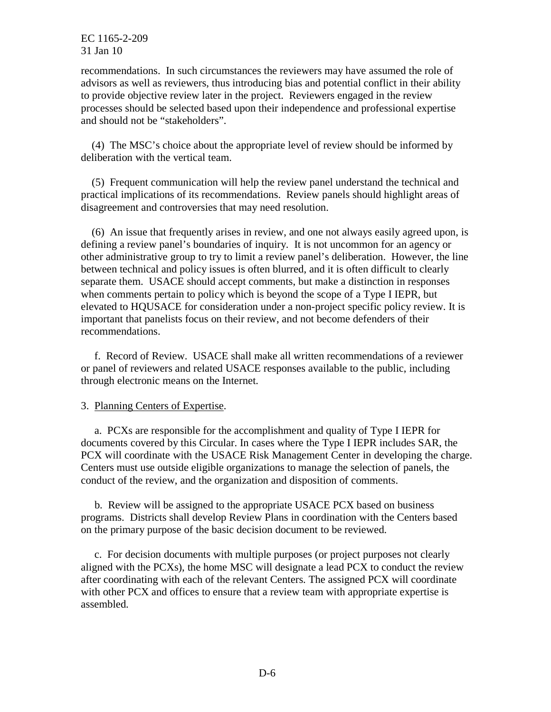recommendations. In such circumstances the reviewers may have assumed the role of advisors as well as reviewers, thus introducing bias and potential conflict in their ability to provide objective review later in the project. Reviewers engaged in the review processes should be selected based upon their independence and professional expertise and should not be "stakeholders".

(4) The MSC's choice about the appropriate level of review should be informed by deliberation with the vertical team.

 practical implications of its recommendations. Review panels should highlight areas of disagreement and controversies that may need resolution. (5) Frequent communication will help the review panel understand the technical and

 defining a review panel's boundaries of inquiry. It is not uncommon for an agency or other administrative group to try to limit a review panel's deliberation. However, the line elevated to HQUSACE for consideration under a non-project specific policy review. It is important that panelists focus on their review, and not become defenders of their (6) An issue that frequently arises in review, and one not always easily agreed upon, is between technical and policy issues is often blurred, and it is often difficult to clearly separate them. USACE should accept comments, but make a distinction in responses when comments pertain to policy which is beyond the scope of a Type I IEPR, but recommendations.

 or panel of reviewers and related USACE responses available to the public, including f. Record of Review. USACE shall make all written recommendations of a reviewer through electronic means on the Internet.

## 3. Planning Centers of Expertise.

 documents covered by this Circular. In cases where the Type I IEPR includes SAR, the Centers must use outside eligible organizations to manage the selection of panels, the a. PCXs are responsible for the accomplishment and quality of Type I IEPR for PCX will coordinate with the USACE Risk Management Center in developing the charge. conduct of the review, and the organization and disposition of comments.

 programs. Districts shall develop Review Plans in coordination with the Centers based b. Review will be assigned to the appropriate USACE PCX based on business on the primary purpose of the basic decision document to be reviewed.

 aligned with the PCXs), the home MSC will designate a lead PCX to conduct the review after coordinating with each of the relevant Centers. The assigned PCX will coordinate with other PCX and offices to ensure that a review team with appropriate expertise is c. For decision documents with multiple purposes (or project purposes not clearly assembled.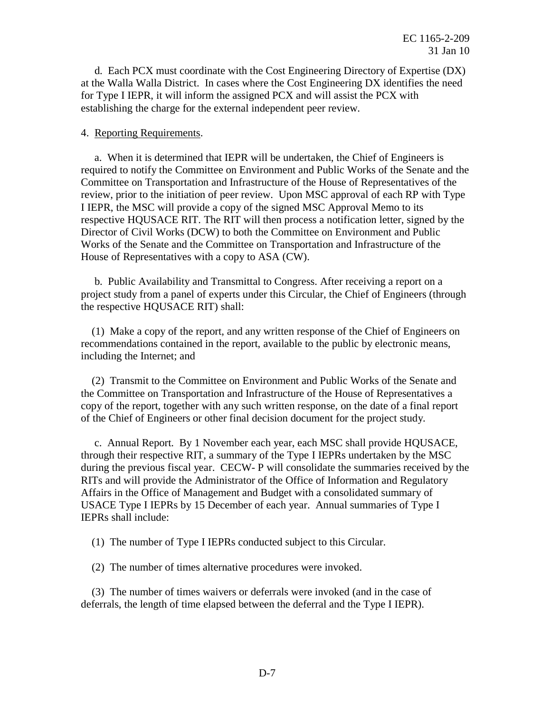for Type I IEPR, it will inform the assigned PCX and will assist the PCX with d. Each PCX must coordinate with the Cost Engineering Directory of Expertise (DX) at the Walla Walla District. In cases where the Cost Engineering DX identifies the need establishing the charge for the external independent peer review.

#### 4. Reporting Requirements.

 required to notify the Committee on Environment and Public Works of the Senate and the Committee on Transportation and Infrastructure of the House of Representatives of the I IEPR, the MSC will provide a copy of the signed MSC Approval Memo to its respective HQUSACE RIT. The RIT will then process a notification letter, signed by the Director of Civil Works (DCW) to both the Committee on Environment and Public Works of the Senate and the Committee on Transportation and Infrastructure of the a. When it is determined that IEPR will be undertaken, the Chief of Engineers is review, prior to the initiation of peer review. Upon MSC approval of each RP with Type House of Representatives with a copy to ASA (CW).

 project study from a panel of experts under this Circular, the Chief of Engineers (through b. Public Availability and Transmittal to Congress. After receiving a report on a the respective HQUSACE RIT) shall:

(1) Make a copy of the report, and any written response of the Chief of Engineers on recommendations contained in the report, available to the public by electronic means, including the Internet; and

 copy of the report, together with any such written response, on the date of a final report (2) Transmit to the Committee on Environment and Public Works of the Senate and the Committee on Transportation and Infrastructure of the House of Representatives a of the Chief of Engineers or other final decision document for the project study.

 through their respective RIT, a summary of the Type I IEPRs undertaken by the MSC during the previous fiscal year. CECW- P will consolidate the summaries received by the Affairs in the Office of Management and Budget with a consolidated summary of USACE Type I IEPRs by 15 December of each year. Annual summaries of Type I c. Annual Report. By 1 November each year, each MSC shall provide HQUSACE, RITs and will provide the Administrator of the Office of Information and Regulatory IEPRs shall include:

(1) The number of Type I IEPRs conducted subject to this Circular.

(2) The number of times alternative procedures were invoked.

 deferrals, the length of time elapsed between the deferral and the Type I IEPR). (3) The number of times waivers or deferrals were invoked (and in the case of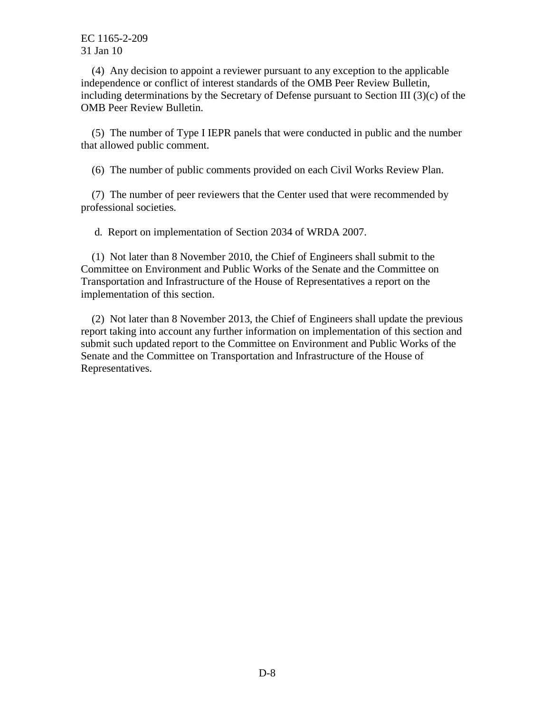independence or conflict of interest standards of the OMB Peer Review Bulletin, (4) Any decision to appoint a reviewer pursuant to any exception to the applicable including determinations by the Secretary of Defense pursuant to Section III (3)(c) of the OMB Peer Review Bulletin.

(5) The number of Type I IEPR panels that were conducted in public and the number that allowed public comment.

(6) The number of public comments provided on each Civil Works Review Plan.

(7) The number of peer reviewers that the Center used that were recommended by professional societies.

d. Report on implementation of Section 2034 of WRDA 2007.

 Committee on Environment and Public Works of the Senate and the Committee on Transportation and Infrastructure of the House of Representatives a report on the (1) Not later than 8 November 2010, the Chief of Engineers shall submit to the implementation of this section.

(2) Not later than 8 November 2013, the Chief of Engineers shall update the previous report taking into account any further information on implementation of this section and submit such updated report to the Committee on Environment and Public Works of the Senate and the Committee on Transportation and Infrastructure of the House of Representatives.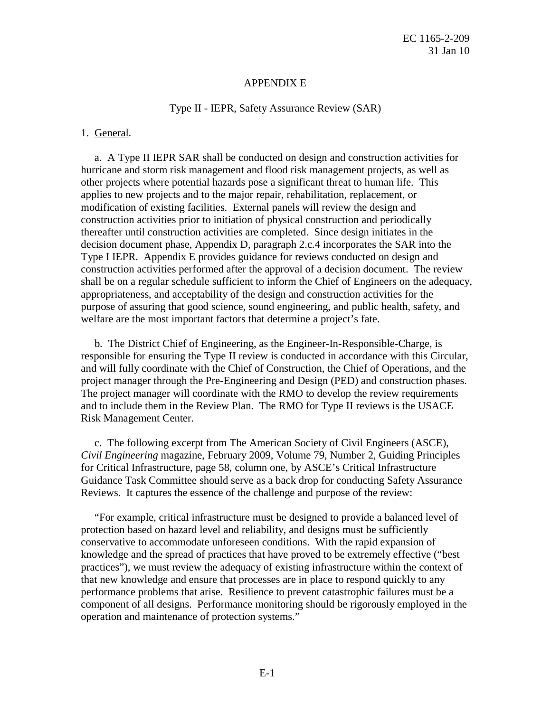#### APPENDIX E

#### Type II - IEPR, Safety Assurance Review (SAR)

#### 1. General.

 hurricane and storm risk management and flood risk management projects, as well as other projects where potential hazards pose a significant threat to human life. This modification of existing facilities. External panels will review the design and thereafter until construction activities are completed. Since design initiates in the Type I IEPR. Appendix E provides guidance for reviews conducted on design and shall be on a regular schedule sufficient to inform the Chief of Engineers on the adequacy, appropriateness, and acceptability of the design and construction activities for the a. A Type II IEPR SAR shall be conducted on design and construction activities for applies to new projects and to the major repair, rehabilitation, replacement, or construction activities prior to initiation of physical construction and periodically decision document phase, Appendix D, paragraph 2.c.4 incorporates the SAR into the construction activities performed after the approval of a decision document. The review purpose of assuring that good science, sound engineering, and public health, safety, and welfare are the most important factors that determine a project's fate.

 and will fully coordinate with the Chief of Construction, the Chief of Operations, and the The project manager will coordinate with the RMO to develop the review requirements and to include them in the Review Plan. The RMO for Type II reviews is the USACE b. The District Chief of Engineering, as the Engineer-In-Responsible-Charge, is responsible for ensuring the Type II review is conducted in accordance with this Circular, project manager through the Pre-Engineering and Design (PED) and construction phases. Risk Management Center.

 Guidance Task Committee should serve as a back drop for conducting Safety Assurance Reviews. It captures the essence of the challenge and purpose of the review: c. The following excerpt from The American Society of Civil Engineers (ASCE), *Civil Engineering* magazine, February 2009, Volume 79, Number 2, Guiding Principles for Critical Infrastructure, page 58, column one, by ASCE's Critical Infrastructure

 conservative to accommodate unforeseen conditions. With the rapid expansion of that new knowledge and ensure that processes are in place to respond quickly to any performance problems that arise. Resilience to prevent catastrophic failures must be a component of all designs. Performance monitoring should be rigorously employed in the "For example, critical infrastructure must be designed to provide a balanced level of protection based on hazard level and reliability, and designs must be sufficiently knowledge and the spread of practices that have proved to be extremely effective ("best practices"), we must review the adequacy of existing infrastructure within the context of operation and maintenance of protection systems."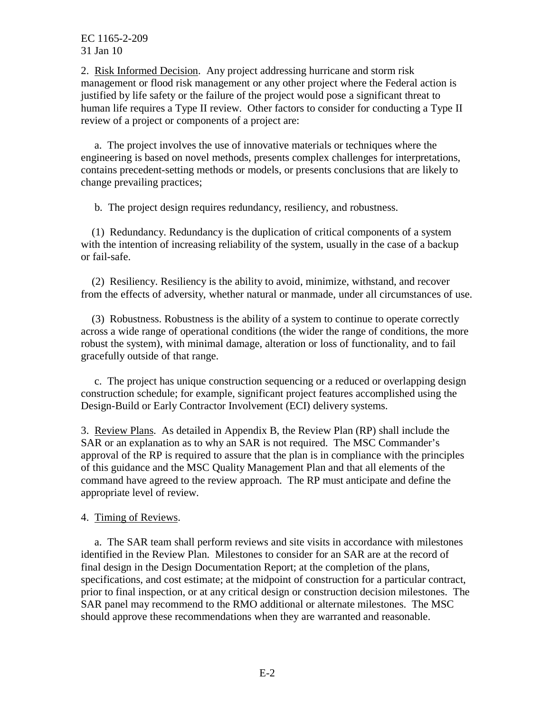2. Risk Informed Decision. Any project addressing hurricane and storm risk human life requires a Type II review. Other factors to consider for conducting a Type II management or flood risk management or any other project where the Federal action is justified by life safety or the failure of the project would pose a significant threat to review of a project or components of a project are:

 contains precedent-setting methods or models, or presents conclusions that are likely to a. The project involves the use of innovative materials or techniques where the engineering is based on novel methods, presents complex challenges for interpretations, change prevailing practices;

b. The project design requires redundancy, resiliency, and robustness.

 with the intention of increasing reliability of the system, usually in the case of a backup (1) Redundancy. Redundancy is the duplication of critical components of a system or fail-safe.

 from the effects of adversity, whether natural or manmade, under all circumstances of use. (2) Resiliency. Resiliency is the ability to avoid, minimize, withstand, and recover

 across a wide range of operational conditions (the wider the range of conditions, the more gracefully outside of that range. (3) Robustness. Robustness is the ability of a system to continue to operate correctly robust the system), with minimal damage, alteration or loss of functionality, and to fail

c. The project has unique construction sequencing or a reduced or overlapping design construction schedule; for example, significant project features accomplished using the Design-Build or Early Contractor Involvement (ECI) delivery systems.

 of this guidance and the MSC Quality Management Plan and that all elements of the command have agreed to the review approach. The RP must anticipate and define the 3. Review Plans. As detailed in Appendix B, the Review Plan (RP) shall include the SAR or an explanation as to why an SAR is not required. The MSC Commander's approval of the RP is required to assure that the plan is in compliance with the principles appropriate level of review.

4. Timing of Reviews.

 identified in the Review Plan. Milestones to consider for an SAR are at the record of final design in the Design Documentation Report; at the completion of the plans, prior to final inspection, or at any critical design or construction decision milestones. The a. The SAR team shall perform reviews and site visits in accordance with milestones specifications, and cost estimate; at the midpoint of construction for a particular contract, SAR panel may recommend to the RMO additional or alternate milestones. The MSC should approve these recommendations when they are warranted and reasonable.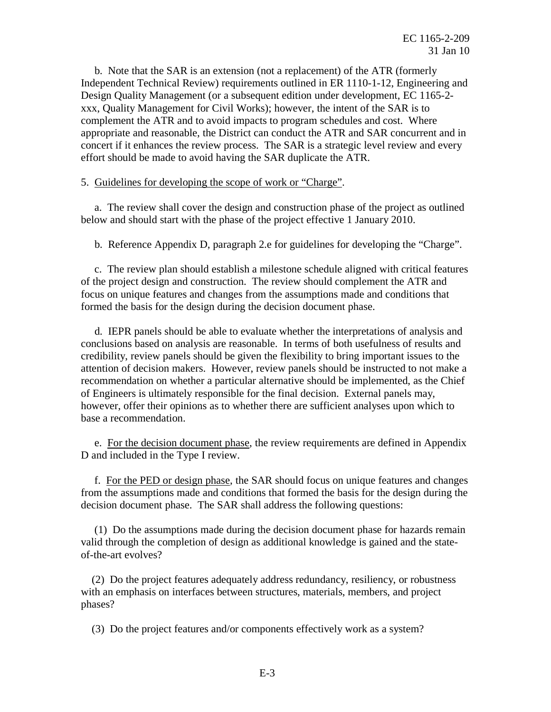xxx, Quality Management for Civil Works); however, the intent of the SAR is to complement the ATR and to avoid impacts to program schedules and cost. Where concert if it enhances the review process. The SAR is a strategic level review and every b. Note that the SAR is an extension (not a replacement) of the ATR (formerly Independent Technical Review) requirements outlined in ER 1110-1-12, Engineering and Design Quality Management (or a subsequent edition under development, EC 1165-2 appropriate and reasonable, the District can conduct the ATR and SAR concurrent and in effort should be made to avoid having the SAR duplicate the ATR.

## 5. Guidelines for developing the scope of work or "Charge".

a. The review shall cover the design and construction phase of the project as outlined below and should start with the phase of the project effective 1 January 2010.

b. Reference Appendix D, paragraph 2.e for guidelines for developing the "Charge".

 of the project design and construction. The review should complement the ATR and c. The review plan should establish a milestone schedule aligned with critical features focus on unique features and changes from the assumptions made and conditions that formed the basis for the design during the decision document phase.

 conclusions based on analysis are reasonable. In terms of both usefulness of results and of Engineers is ultimately responsible for the final decision. External panels may, d. IEPR panels should be able to evaluate whether the interpretations of analysis and credibility, review panels should be given the flexibility to bring important issues to the attention of decision makers. However, review panels should be instructed to not make a recommendation on whether a particular alternative should be implemented, as the Chief however, offer their opinions as to whether there are sufficient analyses upon which to base a recommendation.

e. For the decision document phase, the review requirements are defined in Appendix D and included in the Type I review.

 decision document phase. The SAR shall address the following questions: f. For the PED or design phase, the SAR should focus on unique features and changes from the assumptions made and conditions that formed the basis for the design during the

(1) Do the assumptions made during the decision document phase for hazards remain valid through the completion of design as additional knowledge is gained and the stateof-the-art evolves?

(2) Do the project features adequately address redundancy, resiliency, or robustness with an emphasis on interfaces between structures, materials, members, and project phases?

(3) Do the project features and/or components effectively work as a system?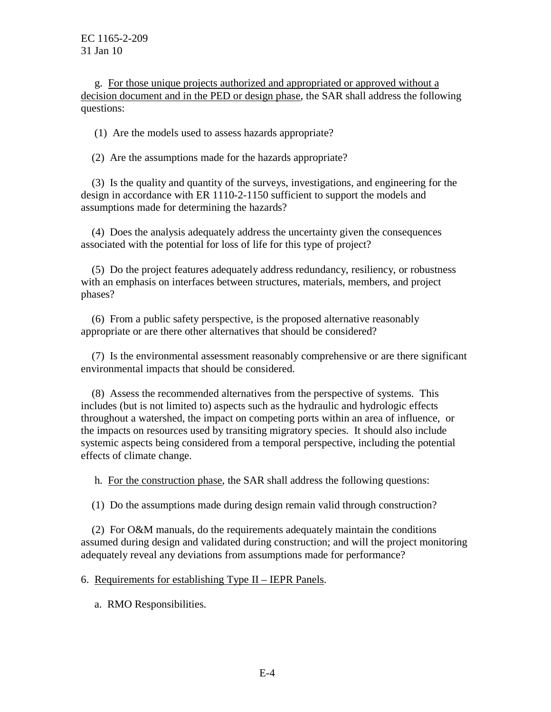decision document and in the PED or design phase, the SAR shall address the following g. For those unique projects authorized and appropriated or approved without a questions:

(1) Are the models used to assess hazards appropriate?

(2) Are the assumptions made for the hazards appropriate?

(3) Is the quality and quantity of the surveys, investigations, and engineering for the design in accordance with ER 1110-2-1150 sufficient to support the models and assumptions made for determining the hazards?

(4) Does the analysis adequately address the uncertainty given the consequences associated with the potential for loss of life for this type of project?

(5) Do the project features adequately address redundancy, resiliency, or robustness with an emphasis on interfaces between structures, materials, members, and project phases?

(6) From a public safety perspective, is the proposed alternative reasonably appropriate or are there other alternatives that should be considered?

(7) Is the environmental assessment reasonably comprehensive or are there significant environmental impacts that should be considered.

 includes (but is not limited to) aspects such as the hydraulic and hydrologic effects throughout a watershed, the impact on competing ports within an area of influence, or systemic aspects being considered from a temporal perspective, including the potential (8) Assess the recommended alternatives from the perspective of systems. This the impacts on resources used by transiting migratory species. It should also include effects of climate change.

h. For the construction phase, the SAR shall address the following questions:

(1) Do the assumptions made during design remain valid through construction?

(2) For O&M manuals, do the requirements adequately maintain the conditions assumed during design and validated during construction; and will the project monitoring adequately reveal any deviations from assumptions made for performance?

6. Requirements for establishing Type II – IEPR Panels.

a. RMO Responsibilities.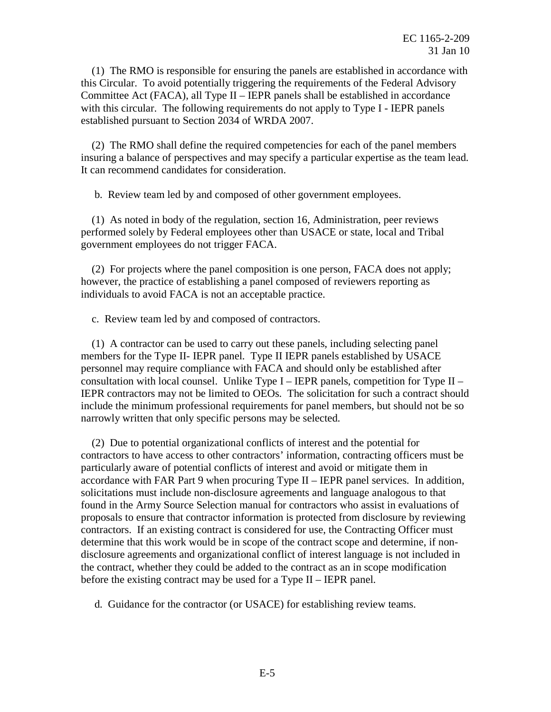Committee Act (FACA), all Type II – IEPR panels shall be established in accordance (1) The RMO is responsible for ensuring the panels are established in accordance with this Circular. To avoid potentially triggering the requirements of the Federal Advisory with this circular. The following requirements do not apply to Type I - IEPR panels established pursuant to Section 2034 of WRDA 2007.

 insuring a balance of perspectives and may specify a particular expertise as the team lead. (2) The RMO shall define the required competencies for each of the panel members It can recommend candidates for consideration.

b. Review team led by and composed of other government employees.

 performed solely by Federal employees other than USACE or state, local and Tribal (1) As noted in body of the regulation, section 16, Administration, peer reviews government employees do not trigger FACA.

(2) For projects where the panel composition is one person, FACA does not apply; however, the practice of establishing a panel composed of reviewers reporting as individuals to avoid FACA is not an acceptable practice.

c. Review team led by and composed of contractors.

 members for the Type II- IEPR panel. Type II IEPR panels established by USACE consultation with local counsel. Unlike Type I – IEPR panels, competition for Type II – narrowly written that only specific persons may be selected. (1) A contractor can be used to carry out these panels, including selecting panel personnel may require compliance with FACA and should only be established after IEPR contractors may not be limited to OEOs. The solicitation for such a contract should include the minimum professional requirements for panel members, but should not be so

 particularly aware of potential conflicts of interest and avoid or mitigate them in solicitations must include non-disclosure agreements and language analogous to that found in the Army Source Selection manual for contractors who assist in evaluations of contractors. If an existing contract is considered for use, the Contracting Officer must disclosure agreements and organizational conflict of interest language is not included in the contract, whether they could be added to the contract as an in scope modification before the existing contract may be used for a Type II – IEPR panel. (2) Due to potential organizational conflicts of interest and the potential for contractors to have access to other contractors' information, contracting officers must be accordance with FAR Part 9 when procuring Type II – IEPR panel services. In addition, proposals to ensure that contractor information is protected from disclosure by reviewing determine that this work would be in scope of the contract scope and determine, if non-

d. Guidance for the contractor (or USACE) for establishing review teams.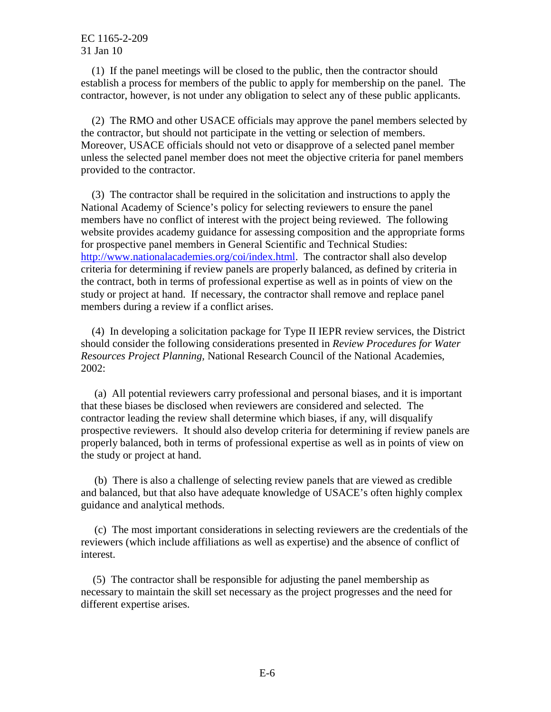(1) If the panel meetings will be closed to the public, then the contractor should establish a process for members of the public to apply for membership on the panel. The contractor, however, is not under any obligation to select any of these public applicants.

 provided to the contractor. (2) The RMO and other USACE officials may approve the panel members selected by the contractor, but should not participate in the vetting or selection of members. Moreover, USACE officials should not veto or disapprove of a selected panel member unless the selected panel member does not meet the objective criteria for panel members

 National Academy of Science's policy for selecting reviewers to ensure the panel study or project at hand. If necessary, the contractor shall remove and replace panel members during a review if a conflict arises. (3) The contractor shall be required in the solicitation and instructions to apply the members have no conflict of interest with the project being reviewed. The following website provides academy guidance for assessing composition and the appropriate forms for prospective panel members in General Scientific and Technical Studies: [http://www.nationalacademies.org/coi/index.html.](http://www.nationalacademies.org/coi/index.html) The contractor shall also develop criteria for determining if review panels are properly balanced, as defined by criteria in the contract, both in terms of professional expertise as well as in points of view on the

 should consider the following considerations presented in *Review Procedures for Water*  2002: (4) In developing a solicitation package for Type II IEPR review services, the District *Resources Project Planning,* National Research Council of the National Academies,

 that these biases be disclosed when reviewers are considered and selected. The 2002: (a) All potential reviewers carry professional and personal biases, and it is important contractor leading the review shall determine which biases, if any, will disqualify prospective reviewers. It should also develop criteria for determining if review panels are properly balanced, both in terms of professional expertise as well as in points of view on the study or project at hand.

 and balanced, but that also have adequate knowledge of USACE's often highly complex (b) There is also a challenge of selecting review panels that are viewed as credible guidance and analytical methods.

 reviewers (which include affiliations as well as expertise) and the absence of conflict of (c) The most important considerations in selecting reviewers are the credentials of the interest.

 necessary to maintain the skill set necessary as the project progresses and the need for (5) The contractor shall be responsible for adjusting the panel membership as different expertise arises.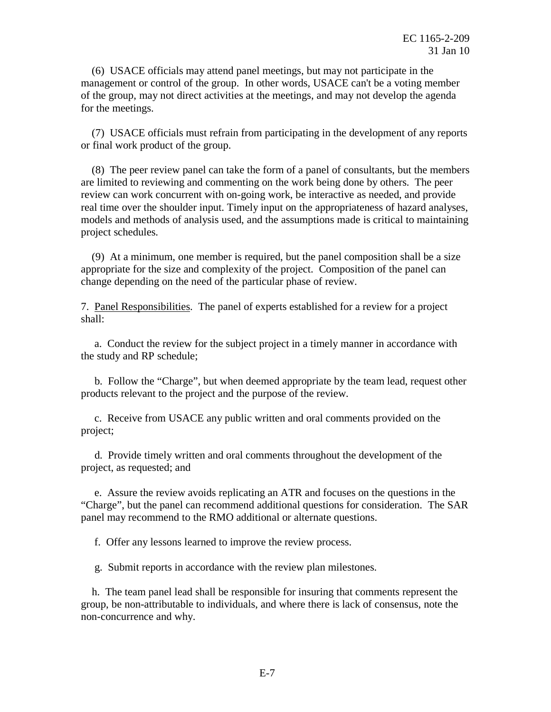management or control of the group. In other words, USACE can't be a voting member of the group, may not direct activities at the meetings, and may not develop the agenda (6) USACE officials may attend panel meetings, but may not participate in the for the meetings.

(7) USACE officials must refrain from participating in the development of any reports or final work product of the group.

 review can work concurrent with on-going work, be interactive as needed, and provide project schedules. (8) The peer review panel can take the form of a panel of consultants, but the members are limited to reviewing and commenting on the work being done by others. The peer real time over the shoulder input. Timely input on the appropriateness of hazard analyses, models and methods of analysis used, and the assumptions made is critical to maintaining

(9) At a minimum, one member is required, but the panel composition shall be a size appropriate for the size and complexity of the project. Composition of the panel can change depending on the need of the particular phase of review.

7. Panel Responsibilities. The panel of experts established for a review for a project shall:

a. Conduct the review for the subject project in a timely manner in accordance with the study and RP schedule;

 products relevant to the project and the purpose of the review. b. Follow the "Charge", but when deemed appropriate by the team lead, request other

c. Receive from USACE any public written and oral comments provided on the project;

d. Provide timely written and oral comments throughout the development of the project, as requested; and

e. Assure the review avoids replicating an ATR and focuses on the questions in the "Charge", but the panel can recommend additional questions for consideration. The SAR panel may recommend to the RMO additional or alternate questions.

f. Offer any lessons learned to improve the review process.

g. Submit reports in accordance with the review plan milestones.

h. The team panel lead shall be responsible for insuring that comments represent the group, be non-attributable to individuals, and where there is lack of consensus, note the non-concurrence and why.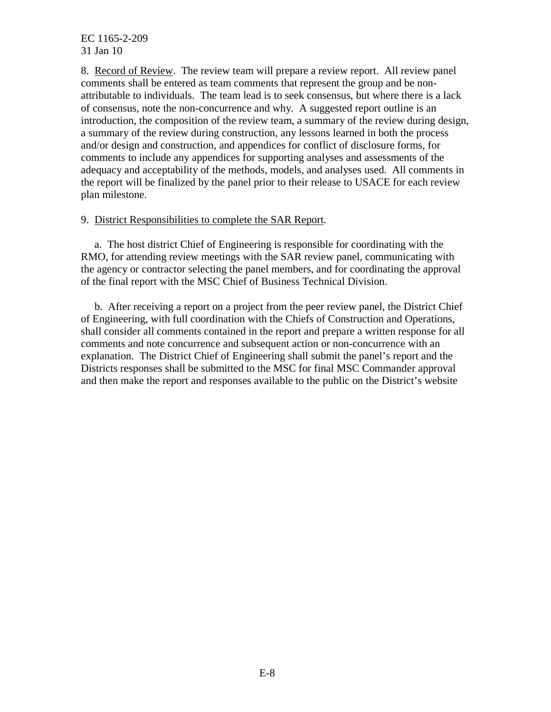8. Record of Review. The review team will prepare a review report. All review panel comments shall be entered as team comments that represent the group and be non- attributable to individuals. The team lead is to seek consensus, but where there is a lack of consensus, note the non-concurrence and why. A suggested report outline is an introduction, the composition of the review team, a summary of the review during design, a summary of the review during construction, any lessons learned in both the process adequacy and acceptability of the methods, models, and analyses used. All comments in and/or design and construction, and appendices for conflict of disclosure forms, for comments to include any appendices for supporting analyses and assessments of the the report will be finalized by the panel prior to their release to USACE for each review plan milestone.

# 9. District Responsibilities to complete the SAR Report.

 the agency or contractor selecting the panel members, and for coordinating the approval a. The host district Chief of Engineering is responsible for coordinating with the RMO, for attending review meetings with the SAR review panel, communicating with of the final report with the MSC Chief of Business Technical Division.

 shall consider all comments contained in the report and prepare a written response for all explanation. The District Chief of Engineering shall submit the panel's report and the Districts responses shall be submitted to the MSC for final MSC Commander approval b. After receiving a report on a project from the peer review panel, the District Chief of Engineering, with full coordination with the Chiefs of Construction and Operations, comments and note concurrence and subsequent action or non-concurrence with an and then make the report and responses available to the public on the District's website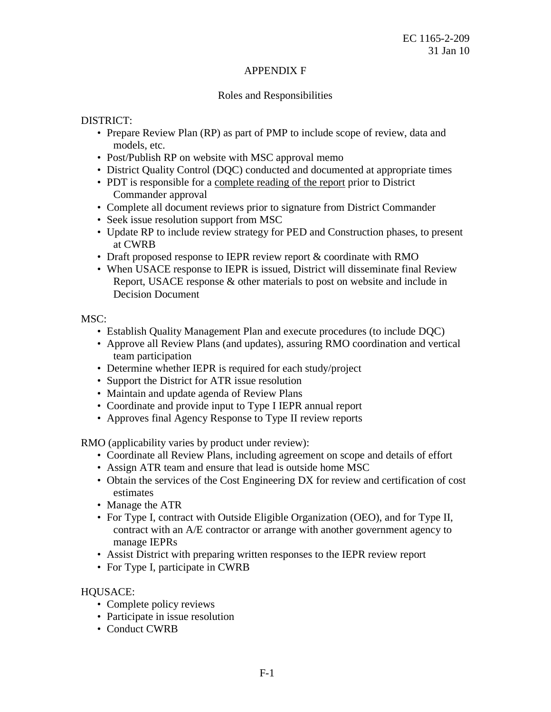#### APPENDIX F

#### Roles and Responsibilities

#### DISTRICT:

- • Prepare Review Plan (RP) as part of PMP to include scope of review, data and models, etc.
- Post/Publish RP on website with MSC approval memo
- District Quality Control (DQC) conducted and documented at appropriate times
- PDT is responsible for a complete reading of the report prior to District Commander approval
- Complete all document reviews prior to signature from District Commander
- Seek issue resolution support from MSC
- • Update RP to include review strategy for PED and Construction phases, to present at CWRB
- Draft proposed response to IEPR review report & coordinate with RMO
- • When USACE response to IEPR is issued, District will disseminate final Review Report, USACE response & other materials to post on website and include in Decision Document

MSC:

- Establish Quality Management Plan and execute procedures (to include DQC)
- • Approve all Review Plans (and updates), assuring RMO coordination and vertical team participation
- Determine whether IEPR is required for each study/project
- Support the District for ATR issue resolution
- Maintain and update agenda of Review Plans
- Coordinate and provide input to Type I IEPR annual report
- Approves final Agency Response to Type II review reports

RMO (applicability varies by product under review):

- Coordinate all Review Plans, including agreement on scope and details of effort
- Assign ATR team and ensure that lead is outside home MSC
- Obtain the services of the Cost Engineering DX for review and certification of cost estimates
- Manage the ATR
- • For Type I, contract with Outside Eligible Organization (OEO), and for Type II, manage IEPRs contract with an A/E contractor or arrange with another government agency to
- manage IEPRs Assist District with preparing written responses to the IEPR review report
- For Type I, participate in CWRB

## HQUSACE:

- Complete policy reviews
- Participate in issue resolution
- Conduct CWRB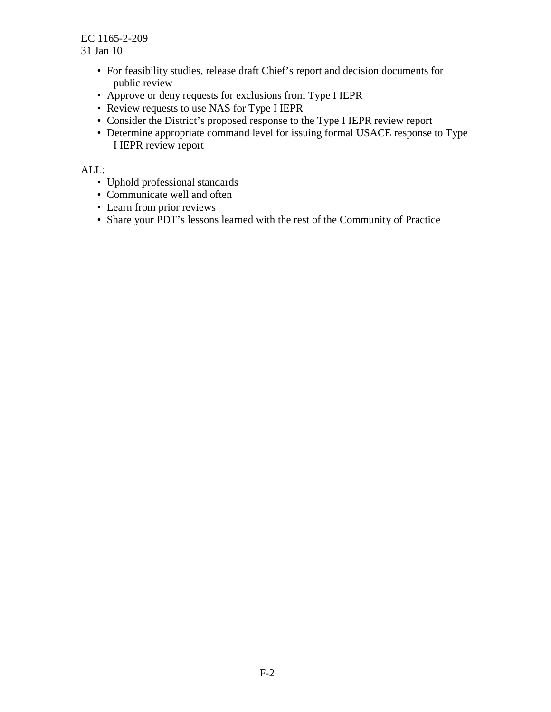- • For feasibility studies, release draft Chief's report and decision documents for public review
- Approve or deny requests for exclusions from Type I IEPR
- Review requests to use NAS for Type I IEPR
- Consider the District's proposed response to the Type I IEPR review report
- • Determine appropriate command level for issuing formal USACE response to Type I IEPR review report

ALL:

- Uphold professional standards
- Communicate well and often
- Learn from prior reviews
- Share your PDT's lessons learned with the rest of the Community of Practice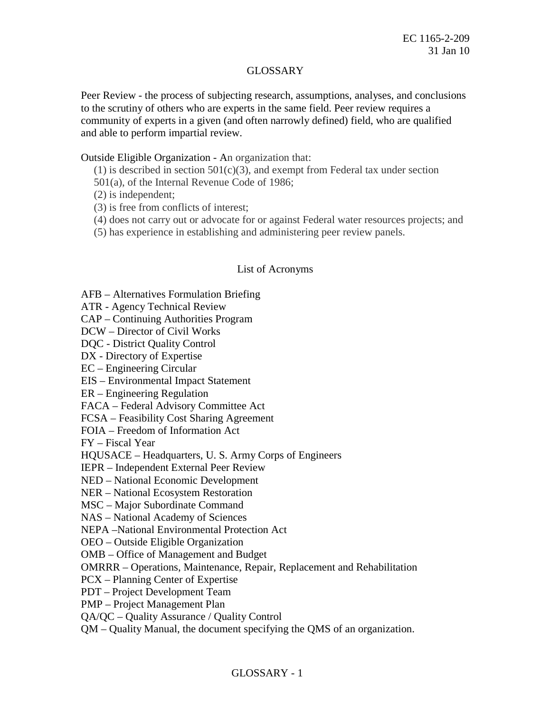## GLOSSARY

 to the scrutiny of others who are experts in the same field. Peer review requires a community of experts in a given (and often narrowly defined) field, who are qualified and able to perform impartial review. Peer Review - the process of subjecting research, assumptions, analyses, and conclusions

Outside Eligible Organization - An organization that:

 $(1)$  is described in section 501(c)(3), and exempt from Federal tax under section

501(a), of the Internal Revenue Code of 1986;

(2) is independent;

(3) is free from conflicts of interest;

(4) does not carry out or advocate for or against Federal water resources projects; and

(5) has experience in establishing and administering peer review panels.

## List of Acronyms

AFB – Alternatives Formulation Briefing

ATR - Agency Technical Review

CAP – Continuing Authorities Program

DCW – Director of Civil Works

DQC - District Quality Control

DX - Directory of Expertise

EC – Engineering Circular

EIS – Environmental Impact Statement

ER – Engineering Regulation

FACA – Federal Advisory Committee Act

FCSA – Feasibility Cost Sharing Agreement

FOIA – Freedom of Information Act

FY – Fiscal Year

HQUSACE – Headquarters, U. S. Army Corps of Engineers

IEPR – Independent External Peer Review

NED – National Economic Development

NER – National Ecosystem Restoration

MSC – Major Subordinate Command

NAS – National Academy of Sciences

NEPA –National Environmental Protection Act

OEO – Outside Eligible Organization

OMB – Office of Management and Budget

OMRRR – Operations, Maintenance, Repair, Replacement and Rehabilitation

PCX – Planning Center of Expertise

PDT – Project Development Team

PMP – Project Management Plan

QA/QC – Quality Assurance / Quality Control

QM – Quality Manual, the document specifying the QMS of an organization.